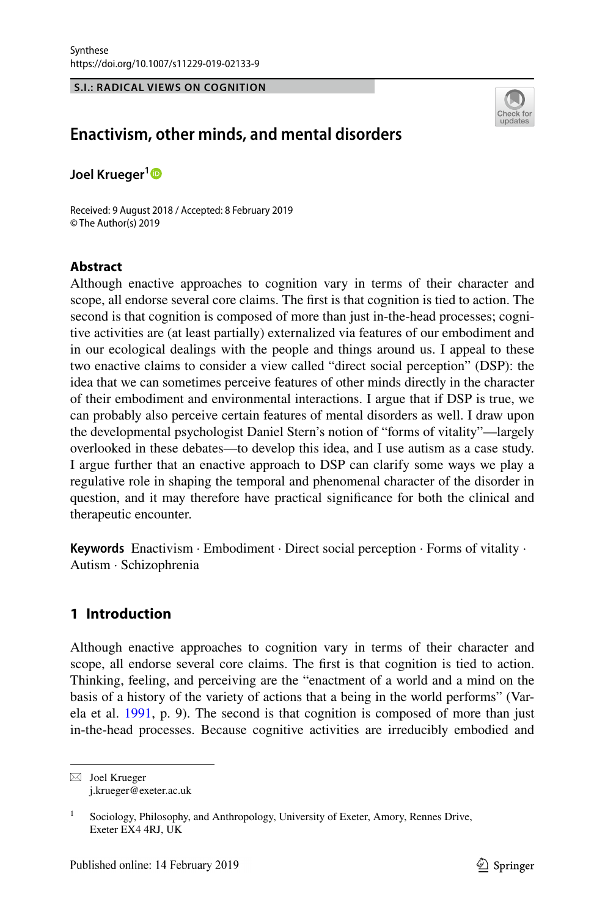**S.I.: RADICAL VIEWS ON COGNITION**



# **Enactivism, other minds, and mental disorders**

**Joel Krueger[1](http://orcid.org/0000-0003-0931-1596)**

Received: 9 August 2018 / Accepted: 8 February 2019 © The Author(s) 2019

# **Abstract**

Although enactive approaches to cognition vary in terms of their character and scope, all endorse several core claims. The frst is that cognition is tied to action. The second is that cognition is composed of more than just in-the-head processes; cognitive activities are (at least partially) externalized via features of our embodiment and in our ecological dealings with the people and things around us. I appeal to these two enactive claims to consider a view called "direct social perception" (DSP): the idea that we can sometimes perceive features of other minds directly in the character of their embodiment and environmental interactions. I argue that if DSP is true, we can probably also perceive certain features of mental disorders as well. I draw upon the developmental psychologist Daniel Stern's notion of "forms of vitality"—largely overlooked in these debates—to develop this idea, and I use autism as a case study. I argue further that an enactive approach to DSP can clarify some ways we play a regulative role in shaping the temporal and phenomenal character of the disorder in question, and it may therefore have practical signifcance for both the clinical and therapeutic encounter.

**Keywords** Enactivism · Embodiment · Direct social perception · Forms of vitality · Autism · Schizophrenia

# **1 Introduction**

Although enactive approaches to cognition vary in terms of their character and scope, all endorse several core claims. The frst is that cognition is tied to action. Thinking, feeling, and perceiving are the "enactment of a world and a mind on the basis of a history of the variety of actions that a being in the world performs" (Varela et al. [1991](#page-23-0), p. 9). The second is that cognition is composed of more than just in-the-head processes. Because cognitive activities are irreducibly embodied and

 $\boxtimes$  Joel Krueger j.krueger@exeter.ac.uk

<sup>&</sup>lt;sup>1</sup> Sociology, Philosophy, and Anthropology, University of Exeter, Amory, Rennes Drive, Exeter EX4 4RJ, UK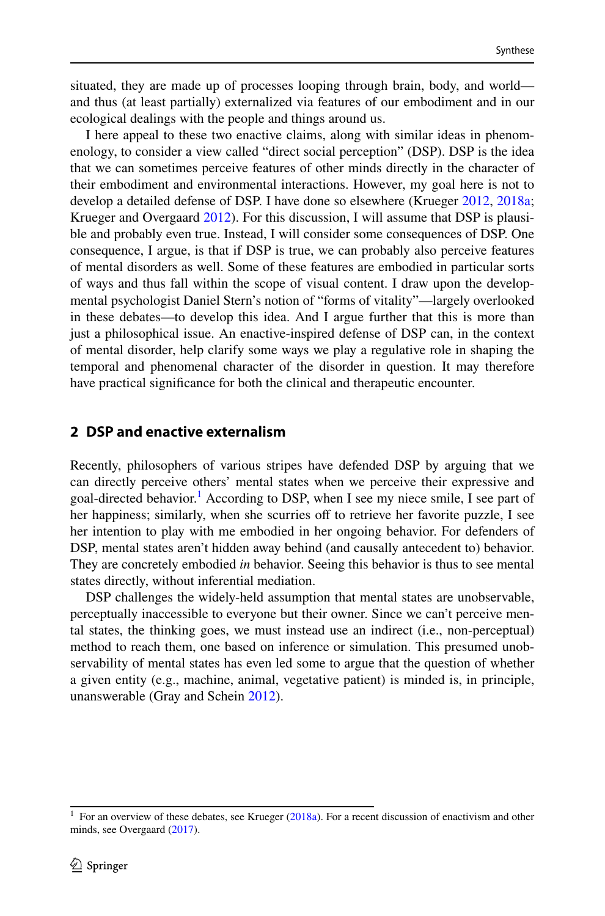situated, they are made up of processes looping through brain, body, and world and thus (at least partially) externalized via features of our embodiment and in our ecological dealings with the people and things around us.

I here appeal to these two enactive claims, along with similar ideas in phenomenology, to consider a view called "direct social perception" (DSP). DSP is the idea that we can sometimes perceive features of other minds directly in the character of their embodiment and environmental interactions. However, my goal here is not to develop a detailed defense of DSP. I have done so elsewhere (Krueger [2012,](#page-21-0) [2018a;](#page-21-1) Krueger and Overgaard [2012\)](#page-22-0). For this discussion, I will assume that DSP is plausible and probably even true. Instead, I will consider some consequences of DSP. One consequence, I argue, is that if DSP is true, we can probably also perceive features of mental disorders as well. Some of these features are embodied in particular sorts of ways and thus fall within the scope of visual content. I draw upon the developmental psychologist Daniel Stern's notion of "forms of vitality"—largely overlooked in these debates—to develop this idea. And I argue further that this is more than just a philosophical issue. An enactive-inspired defense of DSP can, in the context of mental disorder, help clarify some ways we play a regulative role in shaping the temporal and phenomenal character of the disorder in question. It may therefore have practical signifcance for both the clinical and therapeutic encounter.

# **2 DSP and enactive externalism**

Recently, philosophers of various stripes have defended DSP by arguing that we can directly perceive others' mental states when we perceive their expressive and goal-directed behavior.<sup>1</sup> According to DSP, when I see my niece smile, I see part of her happiness; similarly, when she scurries off to retrieve her favorite puzzle, I see her intention to play with me embodied in her ongoing behavior. For defenders of DSP, mental states aren't hidden away behind (and causally antecedent to) behavior. They are concretely embodied *in* behavior. Seeing this behavior is thus to see mental states directly, without inferential mediation.

DSP challenges the widely-held assumption that mental states are unobservable, perceptually inaccessible to everyone but their owner. Since we can't perceive mental states, the thinking goes, we must instead use an indirect (i.e., non-perceptual) method to reach them, one based on inference or simulation. This presumed unobservability of mental states has even led some to argue that the question of whether a given entity (e.g., machine, animal, vegetative patient) is minded is, in principle, unanswerable (Gray and Schein [2012](#page-20-0)).

<span id="page-1-0"></span><sup>&</sup>lt;sup>1</sup> For an overview of these debates, see Krueger  $(2018a)$  $(2018a)$  $(2018a)$ . For a recent discussion of enactivism and other minds, see Overgaard ([2017\)](#page-22-1).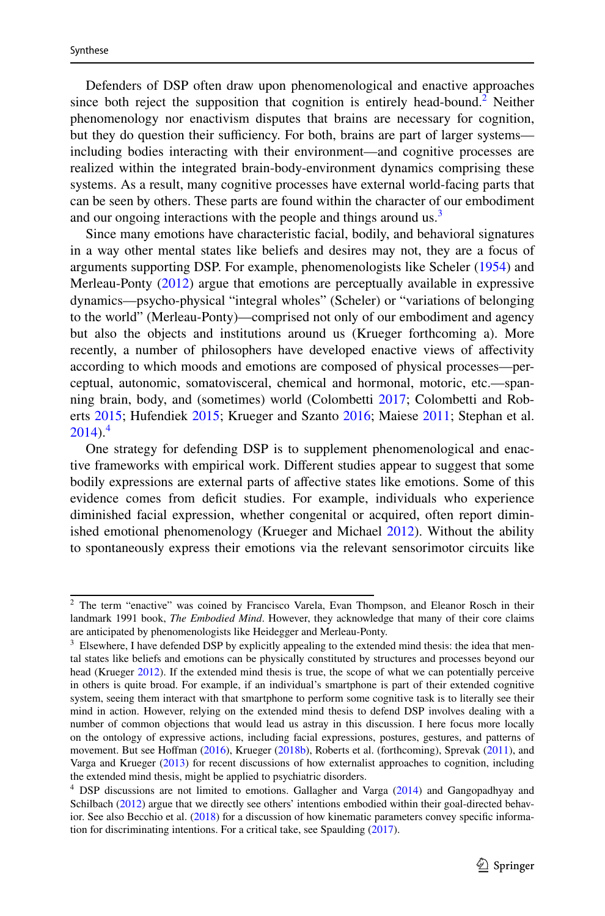Defenders of DSP often draw upon phenomenological and enactive approaches since both reject the supposition that cognition is entirely head-bound.<sup>2</sup> Neither phenomenology nor enactivism disputes that brains are necessary for cognition, but they do question their sufficiency. For both, brains are part of larger systems including bodies interacting with their environment—and cognitive processes are realized within the integrated brain-body-environment dynamics comprising these systems. As a result, many cognitive processes have external world-facing parts that can be seen by others. These parts are found within the character of our embodiment and our ongoing interactions with the people and things around us.<sup>[3](#page-2-1)</sup>

Since many emotions have characteristic facial, bodily, and behavioral signatures in a way other mental states like beliefs and desires may not, they are a focus of arguments supporting DSP. For example, phenomenologists like Scheler ([1954\)](#page-23-1) and Merleau-Ponty ([2012\)](#page-22-2) argue that emotions are perceptually available in expressive dynamics—psycho-physical "integral wholes" (Scheler) or "variations of belonging to the world" (Merleau-Ponty)—comprised not only of our embodiment and agency but also the objects and institutions around us (Krueger forthcoming a). More recently, a number of philosophers have developed enactive views of afectivity according to which moods and emotions are composed of physical processes—perceptual, autonomic, somatovisceral, chemical and hormonal, motoric, etc.—spanning brain, body, and (sometimes) world (Colombetti [2017](#page-20-1); Colombetti and Roberts [2015;](#page-20-2) Hufendiek [2015;](#page-21-2) Krueger and Szanto [2016](#page-22-3); Maiese [2011](#page-22-4); Stephan et al.  $2014$ .<sup>[4](#page-2-2)</sup>

One strategy for defending DSP is to supplement phenomenological and enactive frameworks with empirical work. Diferent studies appear to suggest that some bodily expressions are external parts of afective states like emotions. Some of this evidence comes from defcit studies. For example, individuals who experience diminished facial expression, whether congenital or acquired, often report diminished emotional phenomenology (Krueger and Michael [2012](#page-21-3)). Without the ability to spontaneously express their emotions via the relevant sensorimotor circuits like

<span id="page-2-0"></span> $2$  The term "enactive" was coined by Francisco Varela, Evan Thompson, and Eleanor Rosch in their landmark 1991 book, *The Embodied Mind*. However, they acknowledge that many of their core claims are anticipated by phenomenologists like Heidegger and Merleau-Ponty.

<span id="page-2-1"></span><sup>&</sup>lt;sup>3</sup> Elsewhere, I have defended DSP by explicitly appealing to the extended mind thesis: the idea that mental states like beliefs and emotions can be physically constituted by structures and processes beyond our head (Krueger [2012](#page-21-0)). If the extended mind thesis is true, the scope of what we can potentially perceive in others is quite broad. For example, if an individual's smartphone is part of their extended cognitive system, seeing them interact with that smartphone to perform some cognitive task is to literally see their mind in action. However, relying on the extended mind thesis to defend DSP involves dealing with a number of common objections that would lead us astray in this discussion. I here focus more locally on the ontology of expressive actions, including facial expressions, postures, gestures, and patterns of movement. But see Hoffman [\(2016](#page-21-4)), Krueger [\(2018b](#page-21-5)), Roberts et al. (forthcoming), Sprevak ([2011\)](#page-23-3), and Varga and Krueger ([2013\)](#page-23-4) for recent discussions of how externalist approaches to cognition, including the extended mind thesis, might be applied to psychiatric disorders.

<span id="page-2-2"></span> $4$  DSP discussions are not limited to emotions. Gallagher and Varga [\(2014](#page-20-3)) and Gangopadhyay and Schilbach [\(2012](#page-20-4)) argue that we directly see others' intentions embodied within their goal-directed behavior. See also Becchio et al. ([2018\)](#page-19-0) for a discussion of how kinematic parameters convey specifc information for discriminating intentions. For a critical take, see Spaulding [\(2017](#page-23-5)).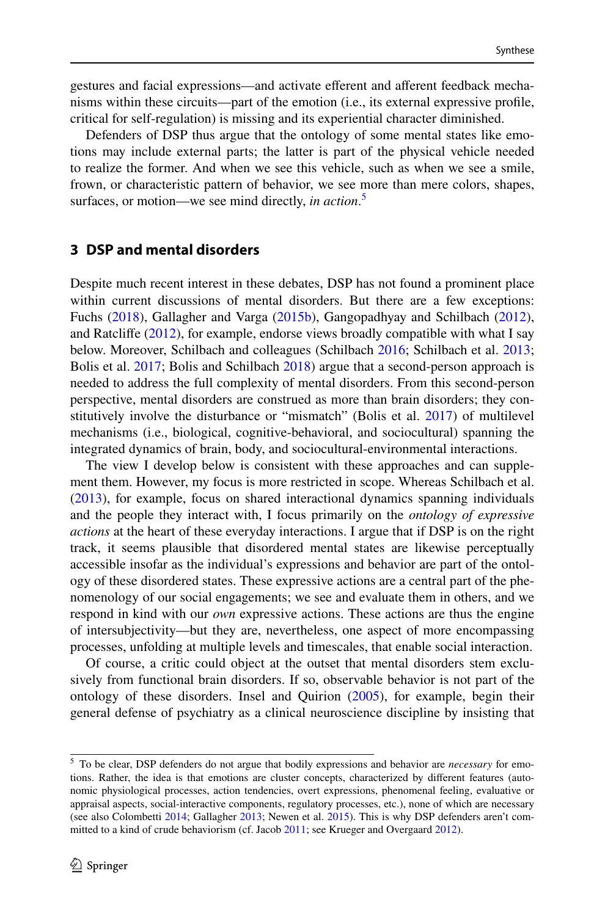gestures and facial expressions—and activate eferent and aferent feedback mechanisms within these circuits—part of the emotion (i.e., its external expressive profle, critical for self-regulation) is missing and its experiential character diminished.

Defenders of DSP thus argue that the ontology of some mental states like emotions may include external parts; the latter is part of the physical vehicle needed to realize the former. And when we see this vehicle, such as when we see a smile, frown, or characteristic pattern of behavior, we see more than mere colors, shapes, surfaces, or motion—we see mind directly, *in action*. [5](#page-3-0)

# **3 DSP and mental disorders**

Despite much recent interest in these debates, DSP has not found a prominent place within current discussions of mental disorders. But there are a few exceptions: Fuchs [\(2018](#page-20-5)), Gallagher and Varga [\(2015b](#page-20-6)), Gangopadhyay and Schilbach ([2012\)](#page-20-4), and Ratcliffe  $(2012)$  $(2012)$ , for example, endorse views broadly compatible with what I say below. Moreover, Schilbach and colleagues (Schilbach [2016;](#page-23-6) Schilbach et al. [2013;](#page-23-7) Bolis et al. [2017](#page-19-1); Bolis and Schilbach [2018\)](#page-19-2) argue that a second-person approach is needed to address the full complexity of mental disorders. From this second-person perspective, mental disorders are construed as more than brain disorders; they constitutively involve the disturbance or "mismatch" (Bolis et al. [2017](#page-19-1)) of multilevel mechanisms (i.e., biological, cognitive-behavioral, and sociocultural) spanning the integrated dynamics of brain, body, and sociocultural-environmental interactions.

The view I develop below is consistent with these approaches and can supplement them. However, my focus is more restricted in scope. Whereas Schilbach et al. [\(2013](#page-23-7)), for example, focus on shared interactional dynamics spanning individuals and the people they interact with, I focus primarily on the *ontology of expressive actions* at the heart of these everyday interactions. I argue that if DSP is on the right track, it seems plausible that disordered mental states are likewise perceptually accessible insofar as the individual's expressions and behavior are part of the ontology of these disordered states. These expressive actions are a central part of the phenomenology of our social engagements; we see and evaluate them in others, and we respond in kind with our *own* expressive actions. These actions are thus the engine of intersubjectivity—but they are, nevertheless, one aspect of more encompassing processes, unfolding at multiple levels and timescales, that enable social interaction.

Of course, a critic could object at the outset that mental disorders stem exclusively from functional brain disorders. If so, observable behavior is not part of the ontology of these disorders. Insel and Quirion ([2005\)](#page-21-6), for example, begin their general defense of psychiatry as a clinical neuroscience discipline by insisting that

<span id="page-3-0"></span><sup>5</sup> To be clear, DSP defenders do not argue that bodily expressions and behavior are *necessary* for emotions. Rather, the idea is that emotions are cluster concepts, characterized by diferent features (autonomic physiological processes, action tendencies, overt expressions, phenomenal feeling, evaluative or appraisal aspects, social-interactive components, regulatory processes, etc.), none of which are necessary (see also Colombetti [2014;](#page-20-7) Gallagher [2013](#page-20-8); Newen et al. [2015\)](#page-22-6). This is why DSP defenders aren't committed to a kind of crude behaviorism (cf. Jacob [2011](#page-21-7); see Krueger and Overgaard [2012](#page-22-0)).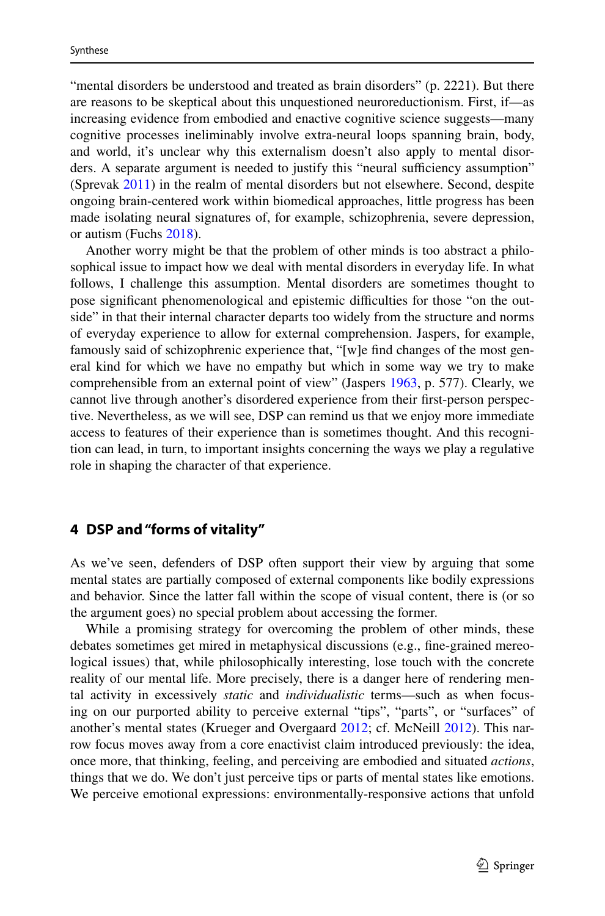"mental disorders be understood and treated as brain disorders" (p. 2221). But there are reasons to be skeptical about this unquestioned neuroreductionism. First, if—as increasing evidence from embodied and enactive cognitive science suggests—many cognitive processes ineliminably involve extra-neural loops spanning brain, body, and world, it's unclear why this externalism doesn't also apply to mental disorders. A separate argument is needed to justify this "neural sufficiency assumption" (Sprevak [2011\)](#page-23-3) in the realm of mental disorders but not elsewhere. Second, despite ongoing brain-centered work within biomedical approaches, little progress has been made isolating neural signatures of, for example, schizophrenia, severe depression, or autism (Fuchs [2018\)](#page-20-5).

Another worry might be that the problem of other minds is too abstract a philosophical issue to impact how we deal with mental disorders in everyday life. In what follows, I challenge this assumption. Mental disorders are sometimes thought to pose signifcant phenomenological and epistemic difculties for those "on the outside" in that their internal character departs too widely from the structure and norms of everyday experience to allow for external comprehension. Jaspers, for example, famously said of schizophrenic experience that, "[w]e fnd changes of the most general kind for which we have no empathy but which in some way we try to make comprehensible from an external point of view" (Jaspers [1963](#page-21-8), p. 577). Clearly, we cannot live through another's disordered experience from their frst-person perspective. Nevertheless, as we will see, DSP can remind us that we enjoy more immediate access to features of their experience than is sometimes thought. And this recognition can lead, in turn, to important insights concerning the ways we play a regulative role in shaping the character of that experience.

# **4 DSP and "forms of vitality"**

As we've seen, defenders of DSP often support their view by arguing that some mental states are partially composed of external components like bodily expressions and behavior. Since the latter fall within the scope of visual content, there is (or so the argument goes) no special problem about accessing the former.

While a promising strategy for overcoming the problem of other minds, these debates sometimes get mired in metaphysical discussions (e.g., fne-grained mereological issues) that, while philosophically interesting, lose touch with the concrete reality of our mental life. More precisely, there is a danger here of rendering mental activity in excessively *static* and *individualistic* terms—such as when focusing on our purported ability to perceive external "tips", "parts", or "surfaces" of another's mental states (Krueger and Overgaard [2012;](#page-22-0) cf. McNeill [2012\)](#page-22-7). This narrow focus moves away from a core enactivist claim introduced previously: the idea, once more, that thinking, feeling, and perceiving are embodied and situated *actions*, things that we do. We don't just perceive tips or parts of mental states like emotions. We perceive emotional expressions: environmentally-responsive actions that unfold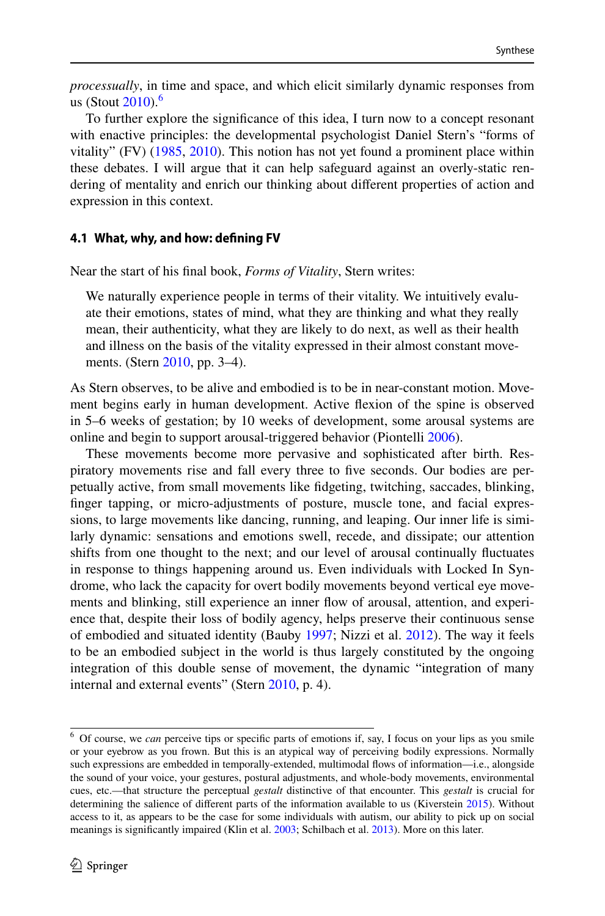*processually*, in time and space, and which elicit similarly dynamic responses from us (Stout  $2010$ ).<sup>6</sup>

To further explore the signifcance of this idea, I turn now to a concept resonant with enactive principles: the developmental psychologist Daniel Stern's "forms of vitality" (FV) [\(1985](#page-23-9), [2010\)](#page-23-10). This notion has not yet found a prominent place within these debates. I will argue that it can help safeguard against an overly-static rendering of mentality and enrich our thinking about diferent properties of action and expression in this context.

### **4.1 What, why, and how: defning FV**

Near the start of his fnal book, *Forms of Vitality*, Stern writes:

We naturally experience people in terms of their vitality. We intuitively evaluate their emotions, states of mind, what they are thinking and what they really mean, their authenticity, what they are likely to do next, as well as their health and illness on the basis of the vitality expressed in their almost constant movements. (Stern [2010](#page-23-10), pp. 3–4).

As Stern observes, to be alive and embodied is to be in near-constant motion. Movement begins early in human development. Active fexion of the spine is observed in 5–6 weeks of gestation; by 10 weeks of development, some arousal systems are online and begin to support arousal-triggered behavior (Piontelli [2006\)](#page-22-8).

These movements become more pervasive and sophisticated after birth. Respiratory movements rise and fall every three to fve seconds. Our bodies are perpetually active, from small movements like fdgeting, twitching, saccades, blinking, fnger tapping, or micro-adjustments of posture, muscle tone, and facial expressions, to large movements like dancing, running, and leaping. Our inner life is similarly dynamic: sensations and emotions swell, recede, and dissipate; our attention shifts from one thought to the next; and our level of arousal continually fuctuates in response to things happening around us. Even individuals with Locked In Syndrome, who lack the capacity for overt bodily movements beyond vertical eye movements and blinking, still experience an inner fow of arousal, attention, and experience that, despite their loss of bodily agency, helps preserve their continuous sense of embodied and situated identity (Bauby [1997;](#page-19-3) Nizzi et al. [2012\)](#page-22-9). The way it feels to be an embodied subject in the world is thus largely constituted by the ongoing integration of this double sense of movement, the dynamic "integration of many internal and external events" (Stern [2010](#page-23-10), p. 4).

<span id="page-5-0"></span><sup>&</sup>lt;sup>6</sup> Of course, we *can* perceive tips or specific parts of emotions if, say, I focus on your lips as you smile or your eyebrow as you frown. But this is an atypical way of perceiving bodily expressions. Normally such expressions are embedded in temporally-extended, multimodal fows of information—i.e., alongside the sound of your voice, your gestures, postural adjustments, and whole-body movements, environmental cues, etc.—that structure the perceptual *gestalt* distinctive of that encounter. This *gestalt* is crucial for determining the salience of diferent parts of the information available to us (Kiverstein [2015\)](#page-21-9). Without access to it, as appears to be the case for some individuals with autism, our ability to pick up on social meanings is signifcantly impaired (Klin et al. [2003](#page-21-10); Schilbach et al. [2013](#page-23-7)). More on this later.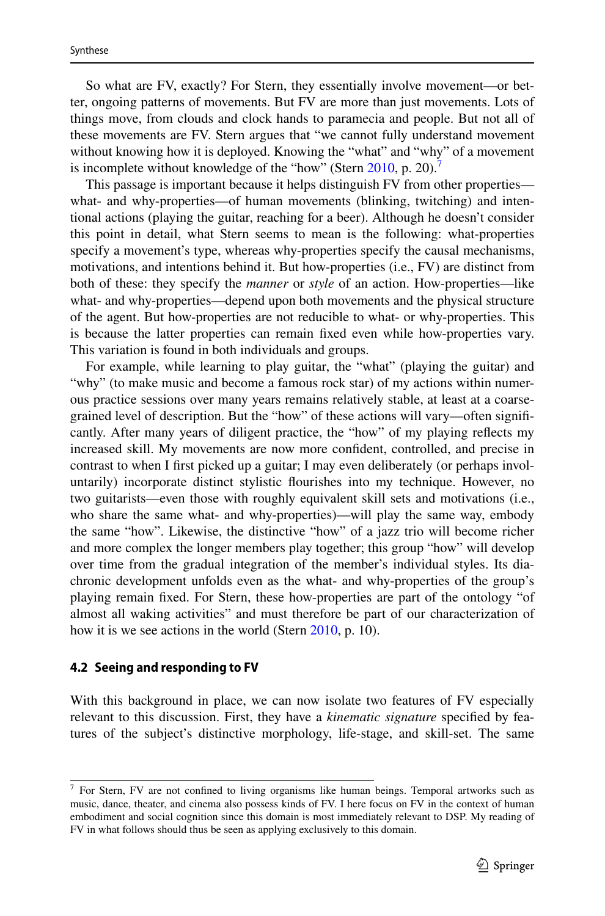So what are FV, exactly? For Stern, they essentially involve movement—or better, ongoing patterns of movements. But FV are more than just movements. Lots of things move, from clouds and clock hands to paramecia and people. But not all of these movements are FV. Stern argues that "we cannot fully understand movement without knowing how it is deployed. Knowing the "what" and "why" of a movement is incomplete without knowledge of the "how" (Stern [2010,](#page-23-10) p. 20).

This passage is important because it helps distinguish FV from other properties what- and why-properties—of human movements (blinking, twitching) and intentional actions (playing the guitar, reaching for a beer). Although he doesn't consider this point in detail, what Stern seems to mean is the following: what-properties specify a movement's type, whereas why-properties specify the causal mechanisms, motivations, and intentions behind it. But how-properties (i.e., FV) are distinct from both of these: they specify the *manner* or *style* of an action. How-properties—like what- and why-properties—depend upon both movements and the physical structure of the agent. But how-properties are not reducible to what- or why-properties. This is because the latter properties can remain fxed even while how-properties vary. This variation is found in both individuals and groups.

For example, while learning to play guitar, the "what" (playing the guitar) and "why" (to make music and become a famous rock star) of my actions within numerous practice sessions over many years remains relatively stable, at least at a coarsegrained level of description. But the "how" of these actions will vary—often signifcantly. After many years of diligent practice, the "how" of my playing refects my increased skill. My movements are now more confdent, controlled, and precise in contrast to when I frst picked up a guitar; I may even deliberately (or perhaps involuntarily) incorporate distinct stylistic fourishes into my technique. However, no two guitarists—even those with roughly equivalent skill sets and motivations (i.e., who share the same what- and why-properties)—will play the same way, embody the same "how". Likewise, the distinctive "how" of a jazz trio will become richer and more complex the longer members play together; this group "how" will develop over time from the gradual integration of the member's individual styles. Its diachronic development unfolds even as the what- and why-properties of the group's playing remain fxed. For Stern, these how-properties are part of the ontology "of almost all waking activities" and must therefore be part of our characterization of how it is we see actions in the world (Stern [2010](#page-23-10), p. 10).

#### **4.2 Seeing and responding to FV**

With this background in place, we can now isolate two features of FV especially relevant to this discussion. First, they have a *kinematic signature* specifed by features of the subject's distinctive morphology, life-stage, and skill-set. The same

<span id="page-6-0"></span><sup>7</sup> For Stern, FV are not confned to living organisms like human beings. Temporal artworks such as music, dance, theater, and cinema also possess kinds of FV. I here focus on FV in the context of human embodiment and social cognition since this domain is most immediately relevant to DSP. My reading of FV in what follows should thus be seen as applying exclusively to this domain.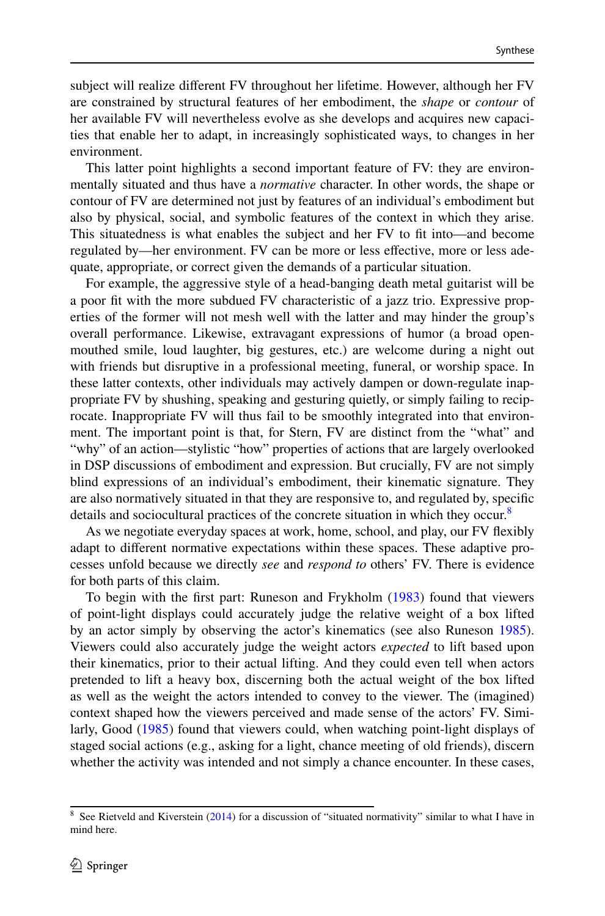subject will realize diferent FV throughout her lifetime. However, although her FV are constrained by structural features of her embodiment, the *shape* or *contour* of her available FV will nevertheless evolve as she develops and acquires new capacities that enable her to adapt, in increasingly sophisticated ways, to changes in her environment.

This latter point highlights a second important feature of FV: they are environmentally situated and thus have a *normative* character. In other words, the shape or contour of FV are determined not just by features of an individual's embodiment but also by physical, social, and symbolic features of the context in which they arise. This situatedness is what enables the subject and her FV to ft into—and become regulated by—her environment. FV can be more or less efective, more or less adequate, appropriate, or correct given the demands of a particular situation.

For example, the aggressive style of a head-banging death metal guitarist will be a poor ft with the more subdued FV characteristic of a jazz trio. Expressive properties of the former will not mesh well with the latter and may hinder the group's overall performance. Likewise, extravagant expressions of humor (a broad openmouthed smile, loud laughter, big gestures, etc.) are welcome during a night out with friends but disruptive in a professional meeting, funeral, or worship space. In these latter contexts, other individuals may actively dampen or down-regulate inappropriate FV by shushing, speaking and gesturing quietly, or simply failing to reciprocate. Inappropriate FV will thus fail to be smoothly integrated into that environment. The important point is that, for Stern, FV are distinct from the "what" and "why" of an action—stylistic "how" properties of actions that are largely overlooked in DSP discussions of embodiment and expression. But crucially, FV are not simply blind expressions of an individual's embodiment, their kinematic signature. They are also normatively situated in that they are responsive to, and regulated by, specifc details and sociocultural practices of the concrete situation in which they occur.<sup>8</sup>

As we negotiate everyday spaces at work, home, school, and play, our FV fexibly adapt to diferent normative expectations within these spaces. These adaptive processes unfold because we directly *see* and *respond to* others' FV. There is evidence for both parts of this claim.

To begin with the frst part: Runeson and Frykholm [\(1983](#page-23-11)) found that viewers of point-light displays could accurately judge the relative weight of a box lifted by an actor simply by observing the actor's kinematics (see also Runeson [1985\)](#page-23-12). Viewers could also accurately judge the weight actors *expected* to lift based upon their kinematics, prior to their actual lifting. And they could even tell when actors pretended to lift a heavy box, discerning both the actual weight of the box lifted as well as the weight the actors intended to convey to the viewer. The (imagined) context shaped how the viewers perceived and made sense of the actors' FV. Similarly, Good ([1985\)](#page-20-9) found that viewers could, when watching point-light displays of staged social actions (e.g., asking for a light, chance meeting of old friends), discern whether the activity was intended and not simply a chance encounter. In these cases,

<span id="page-7-0"></span><sup>&</sup>lt;sup>8</sup> See Rietveld and Kiverstein ([2014\)](#page-22-10) for a discussion of "situated normativity" similar to what I have in mind here.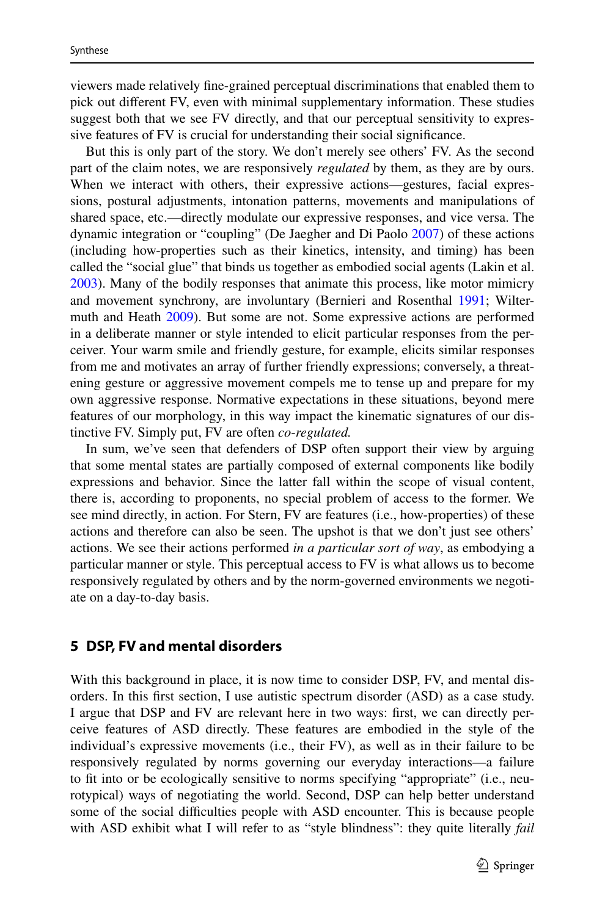viewers made relatively fne-grained perceptual discriminations that enabled them to pick out diferent FV, even with minimal supplementary information. These studies suggest both that we see FV directly, and that our perceptual sensitivity to expressive features of FV is crucial for understanding their social signifcance.

But this is only part of the story. We don't merely see others' FV. As the second part of the claim notes, we are responsively *regulated* by them, as they are by ours. When we interact with others, their expressive actions—gestures, facial expressions, postural adjustments, intonation patterns, movements and manipulations of shared space, etc.—directly modulate our expressive responses, and vice versa. The dynamic integration or "coupling" (De Jaegher and Di Paolo [2007](#page-20-10)) of these actions (including how-properties such as their kinetics, intensity, and timing) has been called the "social glue" that binds us together as embodied social agents (Lakin et al. [2003](#page-22-11)). Many of the bodily responses that animate this process, like motor mimicry and movement synchrony, are involuntary (Bernieri and Rosenthal [1991;](#page-19-4) Wiltermuth and Heath [2009\)](#page-23-13). But some are not. Some expressive actions are performed in a deliberate manner or style intended to elicit particular responses from the perceiver. Your warm smile and friendly gesture, for example, elicits similar responses from me and motivates an array of further friendly expressions; conversely, a threatening gesture or aggressive movement compels me to tense up and prepare for my own aggressive response. Normative expectations in these situations, beyond mere features of our morphology, in this way impact the kinematic signatures of our distinctive FV. Simply put, FV are often *co*-*regulated.*

In sum, we've seen that defenders of DSP often support their view by arguing that some mental states are partially composed of external components like bodily expressions and behavior. Since the latter fall within the scope of visual content, there is, according to proponents, no special problem of access to the former. We see mind directly, in action. For Stern, FV are features (i.e., how-properties) of these actions and therefore can also be seen. The upshot is that we don't just see others' actions. We see their actions performed *in a particular sort of way*, as embodying a particular manner or style. This perceptual access to FV is what allows us to become responsively regulated by others and by the norm-governed environments we negotiate on a day-to-day basis.

### **5 DSP, FV and mental disorders**

With this background in place, it is now time to consider DSP, FV, and mental disorders. In this frst section, I use autistic spectrum disorder (ASD) as a case study. I argue that DSP and FV are relevant here in two ways: frst, we can directly perceive features of ASD directly. These features are embodied in the style of the individual's expressive movements (i.e., their FV), as well as in their failure to be responsively regulated by norms governing our everyday interactions—a failure to ft into or be ecologically sensitive to norms specifying "appropriate" (i.e., neurotypical) ways of negotiating the world. Second, DSP can help better understand some of the social difculties people with ASD encounter. This is because people with ASD exhibit what I will refer to as "style blindness": they quite literally *fail*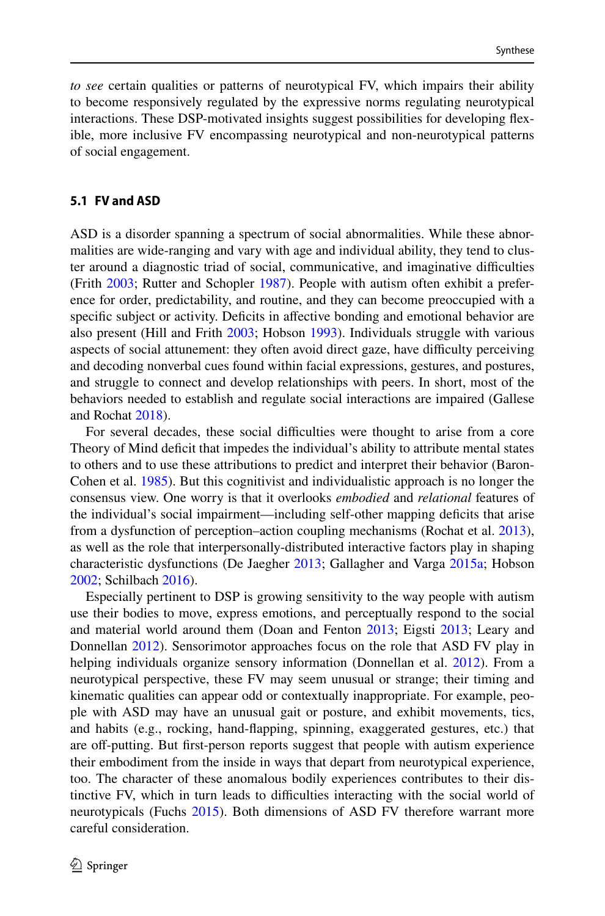*to see* certain qualities or patterns of neurotypical FV, which impairs their ability to become responsively regulated by the expressive norms regulating neurotypical interactions. These DSP-motivated insights suggest possibilities for developing fexible, more inclusive FV encompassing neurotypical and non-neurotypical patterns of social engagement.

#### **5.1 FV and ASD**

ASD is a disorder spanning a spectrum of social abnormalities. While these abnormalities are wide-ranging and vary with age and individual ability, they tend to cluster around a diagnostic triad of social, communicative, and imaginative difculties (Frith [2003](#page-20-11); Rutter and Schopler [1987](#page-23-14)). People with autism often exhibit a preference for order, predictability, and routine, and they can become preoccupied with a specific subject or activity. Deficits in affective bonding and emotional behavior are also present (Hill and Frith [2003;](#page-21-11) Hobson [1993](#page-21-12)). Individuals struggle with various aspects of social attunement: they often avoid direct gaze, have difficulty perceiving and decoding nonverbal cues found within facial expressions, gestures, and postures, and struggle to connect and develop relationships with peers. In short, most of the behaviors needed to establish and regulate social interactions are impaired (Gallese and Rochat [2018](#page-20-12)).

For several decades, these social difficulties were thought to arise from a core Theory of Mind defcit that impedes the individual's ability to attribute mental states to others and to use these attributions to predict and interpret their behavior (Baron-Cohen et al. [1985](#page-19-5)). But this cognitivist and individualistic approach is no longer the consensus view. One worry is that it overlooks *embodied* and *relational* features of the individual's social impairment—including self-other mapping defcits that arise from a dysfunction of perception–action coupling mechanisms (Rochat et al. [2013\)](#page-22-12), as well as the role that interpersonally-distributed interactive factors play in shaping characteristic dysfunctions (De Jaegher [2013;](#page-20-13) Gallagher and Varga [2015a](#page-20-14); Hobson [2002](#page-21-13); Schilbach [2016\)](#page-23-6).

Especially pertinent to DSP is growing sensitivity to the way people with autism use their bodies to move, express emotions, and perceptually respond to the social and material world around them (Doan and Fenton [2013](#page-20-15); Eigsti [2013](#page-20-16); Leary and Donnellan [2012\)](#page-22-13). Sensorimotor approaches focus on the role that ASD FV play in helping individuals organize sensory information (Donnellan et al. [2012](#page-20-17)). From a neurotypical perspective, these FV may seem unusual or strange; their timing and kinematic qualities can appear odd or contextually inappropriate. For example, people with ASD may have an unusual gait or posture, and exhibit movements, tics, and habits (e.g., rocking, hand-fapping, spinning, exaggerated gestures, etc.) that are off-putting. But first-person reports suggest that people with autism experience their embodiment from the inside in ways that depart from neurotypical experience, too. The character of these anomalous bodily experiences contributes to their distinctive FV, which in turn leads to difficulties interacting with the social world of neurotypicals (Fuchs [2015](#page-20-18)). Both dimensions of ASD FV therefore warrant more careful consideration.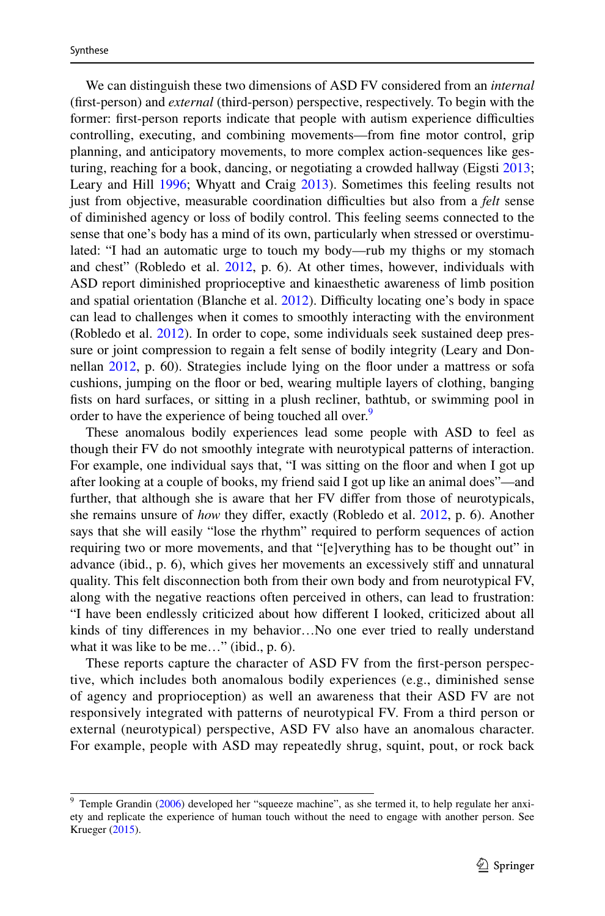We can distinguish these two dimensions of ASD FV considered from an *internal* (frst-person) and *external* (third-person) perspective, respectively. To begin with the former: first-person reports indicate that people with autism experience difficulties controlling, executing, and combining movements—from fne motor control, grip planning, and anticipatory movements, to more complex action-sequences like gesturing, reaching for a book, dancing, or negotiating a crowded hallway (Eigsti [2013;](#page-20-16) Leary and Hill [1996;](#page-22-14) Whyatt and Craig [2013\)](#page-23-15). Sometimes this feeling results not just from objective, measurable coordination difculties but also from a *felt* sense of diminished agency or loss of bodily control. This feeling seems connected to the sense that one's body has a mind of its own, particularly when stressed or overstimulated: "I had an automatic urge to touch my body—rub my thighs or my stomach and chest" (Robledo et al. [2012,](#page-22-15) p. 6). At other times, however, individuals with ASD report diminished proprioceptive and kinaesthetic awareness of limb position and spatial orientation (Blanche et al.  $2012$ ). Difficulty locating one's body in space can lead to challenges when it comes to smoothly interacting with the environment (Robledo et al. [2012](#page-22-15)). In order to cope, some individuals seek sustained deep pressure or joint compression to regain a felt sense of bodily integrity (Leary and Donnellan [2012](#page-22-13), p. 60). Strategies include lying on the foor under a mattress or sofa cushions, jumping on the foor or bed, wearing multiple layers of clothing, banging fists on hard surfaces, or sitting in a plush recliner, bathtub, or swimming pool in order to have the experience of being touched all over.<sup>[9](#page-10-0)</sup>

These anomalous bodily experiences lead some people with ASD to feel as though their FV do not smoothly integrate with neurotypical patterns of interaction. For example, one individual says that, "I was sitting on the foor and when I got up after looking at a couple of books, my friend said I got up like an animal does"—and further, that although she is aware that her FV difer from those of neurotypicals, she remains unsure of *how* they difer, exactly (Robledo et al. [2012](#page-22-15), p. 6). Another says that she will easily "lose the rhythm" required to perform sequences of action requiring two or more movements, and that "[e]verything has to be thought out" in advance (ibid., p. 6), which gives her movements an excessively stif and unnatural quality. This felt disconnection both from their own body and from neurotypical FV, along with the negative reactions often perceived in others, can lead to frustration: "I have been endlessly criticized about how diferent I looked, criticized about all kinds of tiny diferences in my behavior…No one ever tried to really understand what it was like to be me..." (ibid., p. 6).

These reports capture the character of ASD FV from the frst-person perspective, which includes both anomalous bodily experiences (e.g., diminished sense of agency and proprioception) as well an awareness that their ASD FV are not responsively integrated with patterns of neurotypical FV. From a third person or external (neurotypical) perspective, ASD FV also have an anomalous character. For example, people with ASD may repeatedly shrug, squint, pout, or rock back

<span id="page-10-0"></span><sup>&</sup>lt;sup>9</sup> Temple Grandin ([2006\)](#page-20-19) developed her "squeeze machine", as she termed it, to help regulate her anxiety and replicate the experience of human touch without the need to engage with another person. See Krueger ([2015\)](#page-21-14).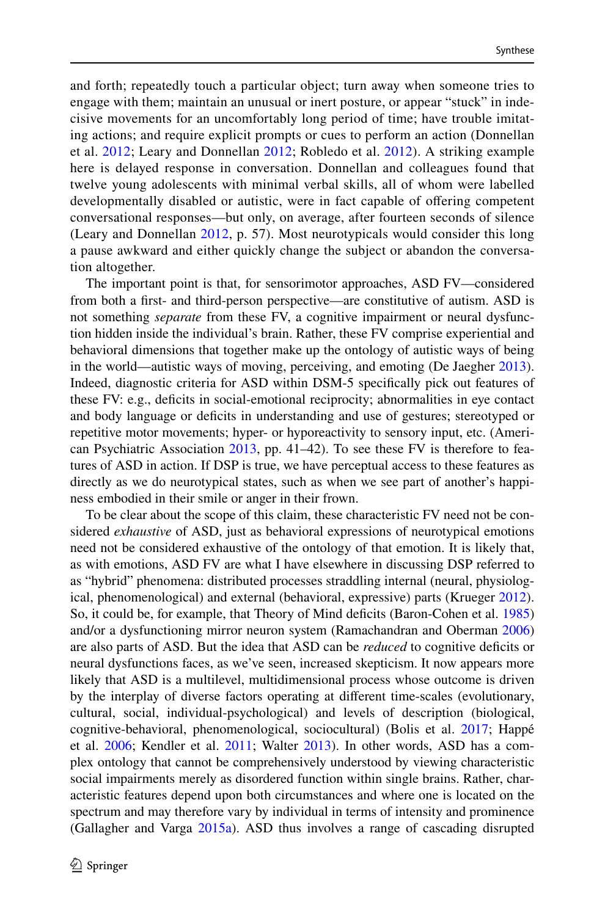and forth; repeatedly touch a particular object; turn away when someone tries to engage with them; maintain an unusual or inert posture, or appear "stuck" in indecisive movements for an uncomfortably long period of time; have trouble imitating actions; and require explicit prompts or cues to perform an action (Donnellan et al. [2012](#page-20-17); Leary and Donnellan [2012](#page-22-13); Robledo et al. [2012\)](#page-22-15). A striking example here is delayed response in conversation. Donnellan and colleagues found that twelve young adolescents with minimal verbal skills, all of whom were labelled developmentally disabled or autistic, were in fact capable of ofering competent conversational responses—but only, on average, after fourteen seconds of silence (Leary and Donnellan [2012](#page-22-13), p. 57). Most neurotypicals would consider this long a pause awkward and either quickly change the subject or abandon the conversation altogether.

The important point is that, for sensorimotor approaches, ASD FV—considered from both a frst- and third-person perspective—are constitutive of autism. ASD is not something *separate* from these FV, a cognitive impairment or neural dysfunction hidden inside the individual's brain. Rather, these FV comprise experiential and behavioral dimensions that together make up the ontology of autistic ways of being in the world—autistic ways of moving, perceiving, and emoting (De Jaegher [2013\)](#page-20-13). Indeed, diagnostic criteria for ASD within DSM-5 specifcally pick out features of these FV: e.g., defcits in social-emotional reciprocity; abnormalities in eye contact and body language or deficits in understanding and use of gestures; stereotyped or repetitive motor movements; hyper- or hyporeactivity to sensory input, etc. (American Psychiatric Association [2013,](#page-19-7) pp. 41–42). To see these FV is therefore to features of ASD in action. If DSP is true, we have perceptual access to these features as directly as we do neurotypical states, such as when we see part of another's happiness embodied in their smile or anger in their frown.

To be clear about the scope of this claim, these characteristic FV need not be considered *exhaustive* of ASD, just as behavioral expressions of neurotypical emotions need not be considered exhaustive of the ontology of that emotion. It is likely that, as with emotions, ASD FV are what I have elsewhere in discussing DSP referred to as "hybrid" phenomena: distributed processes straddling internal (neural, physiological, phenomenological) and external (behavioral, expressive) parts (Krueger [2012\)](#page-21-0). So, it could be, for example, that Theory of Mind deficits (Baron-Cohen et al. [1985](#page-19-5)) and/or a dysfunctioning mirror neuron system (Ramachandran and Oberman [2006](#page-22-16)) are also parts of ASD. But the idea that ASD can be *reduced* to cognitive defcits or neural dysfunctions faces, as we've seen, increased skepticism. It now appears more likely that ASD is a multilevel, multidimensional process whose outcome is driven by the interplay of diverse factors operating at diferent time-scales (evolutionary, cultural, social, individual-psychological) and levels of description (biological, cognitive-behavioral, phenomenological, sociocultural) (Bolis et al. [2017](#page-19-1); Happé et al. [2006;](#page-21-15) Kendler et al. [2011](#page-21-16); Walter [2013\)](#page-23-16). In other words, ASD has a complex ontology that cannot be comprehensively understood by viewing characteristic social impairments merely as disordered function within single brains. Rather, characteristic features depend upon both circumstances and where one is located on the spectrum and may therefore vary by individual in terms of intensity and prominence (Gallagher and Varga [2015a](#page-20-14)). ASD thus involves a range of cascading disrupted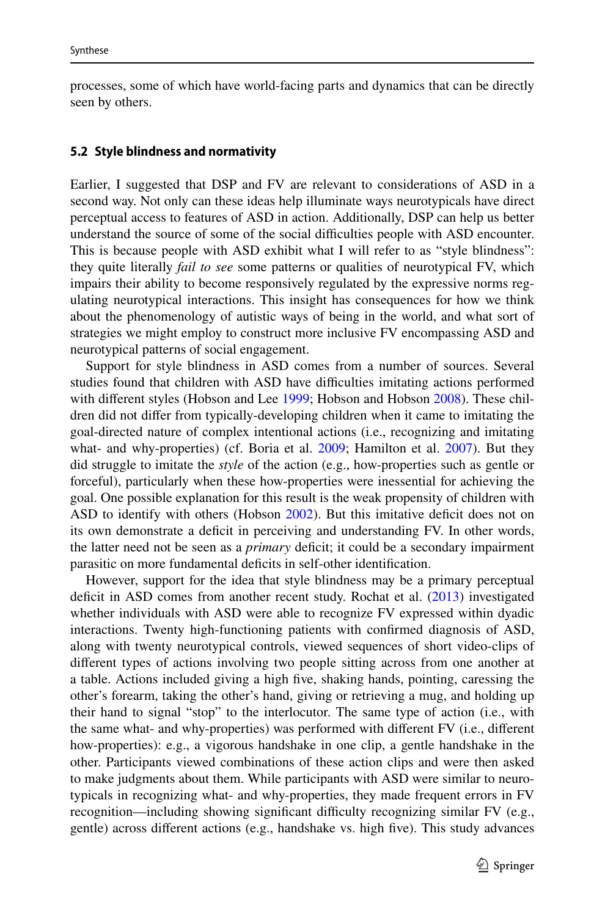processes, some of which have world-facing parts and dynamics that can be directly seen by others.

#### **5.2 Style blindness and normativity**

Earlier, I suggested that DSP and FV are relevant to considerations of ASD in a second way. Not only can these ideas help illuminate ways neurotypicals have direct perceptual access to features of ASD in action. Additionally, DSP can help us better understand the source of some of the social difficulties people with ASD encounter. This is because people with ASD exhibit what I will refer to as "style blindness": they quite literally *fail to see* some patterns or qualities of neurotypical FV, which impairs their ability to become responsively regulated by the expressive norms regulating neurotypical interactions. This insight has consequences for how we think about the phenomenology of autistic ways of being in the world, and what sort of strategies we might employ to construct more inclusive FV encompassing ASD and neurotypical patterns of social engagement.

Support for style blindness in ASD comes from a number of sources. Several studies found that children with ASD have difficulties imitating actions performed with different styles (Hobson and Lee [1999](#page-21-17); Hobson and Hobson [2008](#page-21-18)). These children did not difer from typically-developing children when it came to imitating the goal-directed nature of complex intentional actions (i.e., recognizing and imitating what- and why-properties) (cf. Boria et al. [2009](#page-20-20); Hamilton et al. [2007](#page-21-19)). But they did struggle to imitate the *style* of the action (e.g., how-properties such as gentle or forceful), particularly when these how-properties were inessential for achieving the goal. One possible explanation for this result is the weak propensity of children with ASD to identify with others (Hobson [2002\)](#page-21-13). But this imitative deficit does not on its own demonstrate a defcit in perceiving and understanding FV. In other words, the latter need not be seen as a *primary* deficit; it could be a secondary impairment parasitic on more fundamental deficits in self-other identification.

However, support for the idea that style blindness may be a primary perceptual deficit in ASD comes from another recent study. Rochat et al. ([2013\)](#page-22-12) investigated whether individuals with ASD were able to recognize FV expressed within dyadic interactions. Twenty high-functioning patients with confrmed diagnosis of ASD, along with twenty neurotypical controls, viewed sequences of short video-clips of diferent types of actions involving two people sitting across from one another at a table. Actions included giving a high fve, shaking hands, pointing, caressing the other's forearm, taking the other's hand, giving or retrieving a mug, and holding up their hand to signal "stop" to the interlocutor. The same type of action (i.e., with the same what- and why-properties) was performed with diferent FV (i.e., diferent how-properties): e.g., a vigorous handshake in one clip, a gentle handshake in the other. Participants viewed combinations of these action clips and were then asked to make judgments about them. While participants with ASD were similar to neurotypicals in recognizing what- and why-properties, they made frequent errors in FV recognition—including showing significant difficulty recognizing similar FV (e.g., gentle) across diferent actions (e.g., handshake vs. high fve). This study advances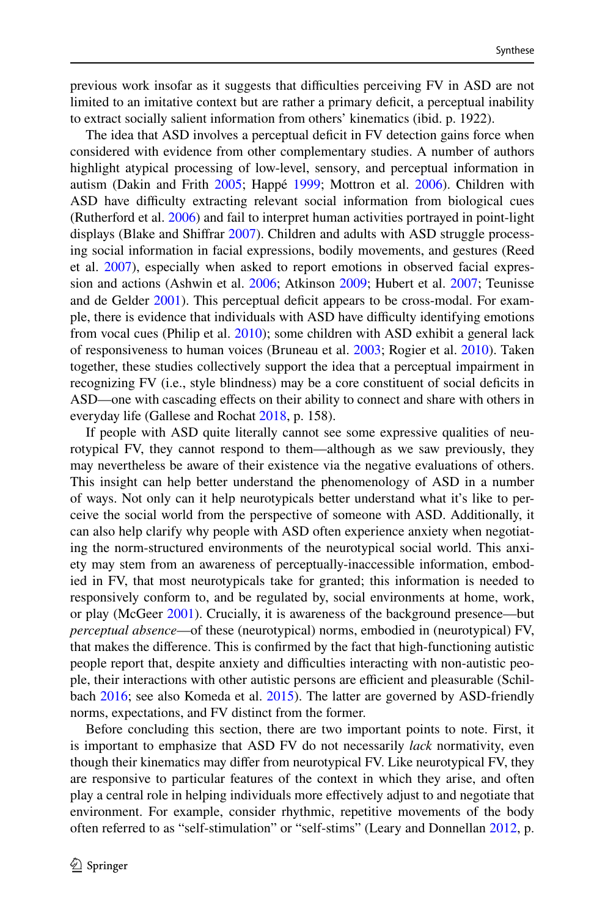previous work insofar as it suggests that difculties perceiving FV in ASD are not limited to an imitative context but are rather a primary defcit, a perceptual inability to extract socially salient information from others' kinematics (ibid. p. 1922).

The idea that ASD involves a perceptual defcit in FV detection gains force when considered with evidence from other complementary studies. A number of authors highlight atypical processing of low-level, sensory, and perceptual information in autism (Dakin and Frith [2005;](#page-20-21) Happé [1999;](#page-21-20) Mottron et al. [2006\)](#page-22-17). Children with ASD have difficulty extracting relevant social information from biological cues (Rutherford et al. [2006](#page-23-17)) and fail to interpret human activities portrayed in point-light displays (Blake and Shifrar [2007](#page-19-8)). Children and adults with ASD struggle processing social information in facial expressions, bodily movements, and gestures (Reed et al. [2007\)](#page-22-18), especially when asked to report emotions in observed facial expression and actions (Ashwin et al. [2006](#page-19-9); Atkinson [2009;](#page-19-10) Hubert et al. [2007](#page-21-21); Teunisse and de Gelder [2001\)](#page-23-18). This perceptual deficit appears to be cross-modal. For example, there is evidence that individuals with ASD have difculty identifying emotions from vocal cues (Philip et al. [2010\)](#page-22-19); some children with ASD exhibit a general lack of responsiveness to human voices (Bruneau et al. [2003;](#page-20-22) Rogier et al. [2010](#page-23-19)). Taken together, these studies collectively support the idea that a perceptual impairment in recognizing FV (i.e., style blindness) may be a core constituent of social defcits in ASD—one with cascading efects on their ability to connect and share with others in everyday life (Gallese and Rochat [2018](#page-20-12), p. 158).

If people with ASD quite literally cannot see some expressive qualities of neurotypical FV, they cannot respond to them—although as we saw previously, they may nevertheless be aware of their existence via the negative evaluations of others. This insight can help better understand the phenomenology of ASD in a number of ways. Not only can it help neurotypicals better understand what it's like to perceive the social world from the perspective of someone with ASD. Additionally, it can also help clarify why people with ASD often experience anxiety when negotiating the norm-structured environments of the neurotypical social world. This anxiety may stem from an awareness of perceptually-inaccessible information, embodied in FV, that most neurotypicals take for granted; this information is needed to responsively conform to, and be regulated by, social environments at home, work, or play (McGeer [2001](#page-22-20)). Crucially, it is awareness of the background presence—but *perceptual absence*—of these (neurotypical) norms, embodied in (neurotypical) FV, that makes the diference. This is confrmed by the fact that high-functioning autistic people report that, despite anxiety and difculties interacting with non-autistic people, their interactions with other autistic persons are efficient and pleasurable (Schilbach [2016;](#page-23-6) see also Komeda et al. [2015\)](#page-21-22). The latter are governed by ASD-friendly norms, expectations, and FV distinct from the former.

Before concluding this section, there are two important points to note. First, it is important to emphasize that ASD FV do not necessarily *lack* normativity, even though their kinematics may difer from neurotypical FV. Like neurotypical FV, they are responsive to particular features of the context in which they arise, and often play a central role in helping individuals more efectively adjust to and negotiate that environment. For example, consider rhythmic, repetitive movements of the body often referred to as "self-stimulation" or "self-stims" (Leary and Donnellan [2012,](#page-22-13) p.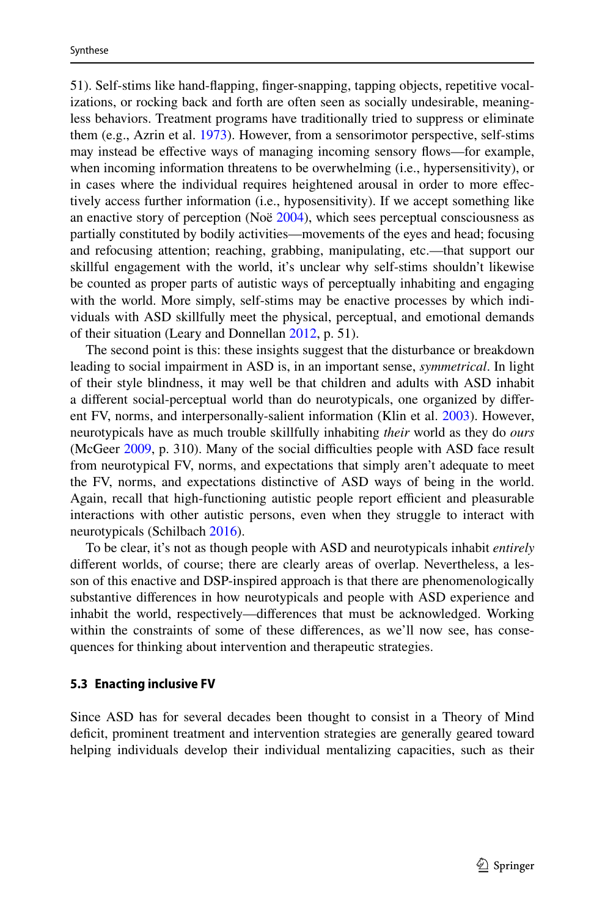51). Self-stims like hand-fapping, fnger-snapping, tapping objects, repetitive vocalizations, or rocking back and forth are often seen as socially undesirable, meaningless behaviors. Treatment programs have traditionally tried to suppress or eliminate them (e.g., Azrin et al. [1973](#page-19-11)). However, from a sensorimotor perspective, self-stims may instead be effective ways of managing incoming sensory flows—for example, when incoming information threatens to be overwhelming (i.e., hypersensitivity), or in cases where the individual requires heightened arousal in order to more efectively access further information (i.e., hyposensitivity). If we accept something like an enactive story of perception (Noë [2004\)](#page-22-21), which sees perceptual consciousness as partially constituted by bodily activities—movements of the eyes and head; focusing and refocusing attention; reaching, grabbing, manipulating, etc.—that support our skillful engagement with the world, it's unclear why self-stims shouldn't likewise be counted as proper parts of autistic ways of perceptually inhabiting and engaging with the world. More simply, self-stims may be enactive processes by which individuals with ASD skillfully meet the physical, perceptual, and emotional demands of their situation (Leary and Donnellan [2012](#page-22-13), p. 51).

The second point is this: these insights suggest that the disturbance or breakdown leading to social impairment in ASD is, in an important sense, *symmetrical*. In light of their style blindness, it may well be that children and adults with ASD inhabit a diferent social-perceptual world than do neurotypicals, one organized by diferent FV, norms, and interpersonally-salient information (Klin et al. [2003](#page-21-10)). However, neurotypicals have as much trouble skillfully inhabiting *their* world as they do *ours* (McGeer [2009](#page-22-22), p. 310). Many of the social difficulties people with ASD face result from neurotypical FV, norms, and expectations that simply aren't adequate to meet the FV, norms, and expectations distinctive of ASD ways of being in the world. Again, recall that high-functioning autistic people report efficient and pleasurable interactions with other autistic persons, even when they struggle to interact with neurotypicals (Schilbach [2016](#page-23-6)).

To be clear, it's not as though people with ASD and neurotypicals inhabit *entirely* diferent worlds, of course; there are clearly areas of overlap. Nevertheless, a lesson of this enactive and DSP-inspired approach is that there are phenomenologically substantive diferences in how neurotypicals and people with ASD experience and inhabit the world, respectively—diferences that must be acknowledged. Working within the constraints of some of these diferences, as we'll now see, has consequences for thinking about intervention and therapeutic strategies.

#### **5.3 Enacting inclusive FV**

Since ASD has for several decades been thought to consist in a Theory of Mind defcit, prominent treatment and intervention strategies are generally geared toward helping individuals develop their individual mentalizing capacities, such as their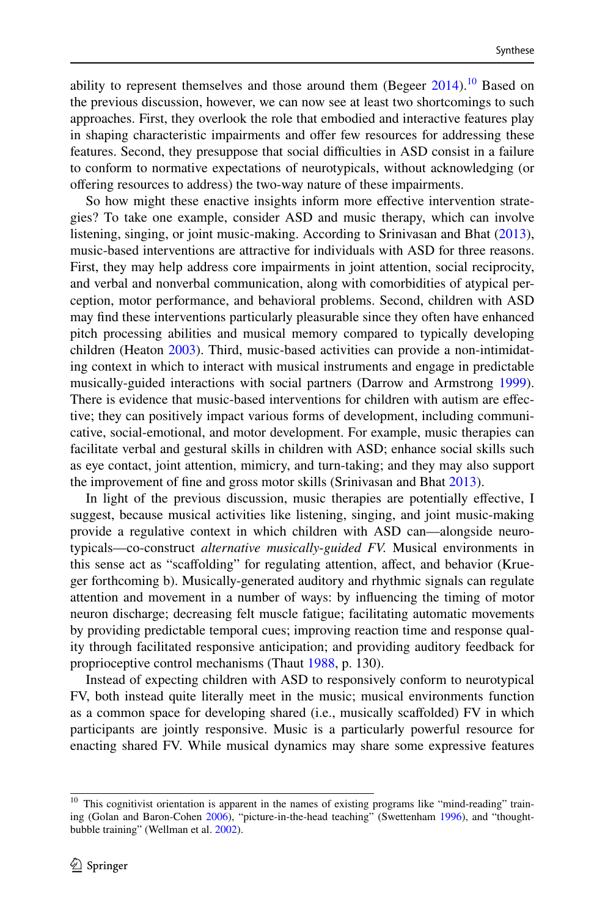ability to represent themselves and those around them (Begeer  $2014$ ).<sup>10</sup> Based on the previous discussion, however, we can now see at least two shortcomings to such approaches. First, they overlook the role that embodied and interactive features play in shaping characteristic impairments and ofer few resources for addressing these features. Second, they presuppose that social difficulties in ASD consist in a failure to conform to normative expectations of neurotypicals, without acknowledging (or ofering resources to address) the two-way nature of these impairments.

So how might these enactive insights inform more efective intervention strategies? To take one example, consider ASD and music therapy, which can involve listening, singing, or joint music-making. According to Srinivasan and Bhat ([2013\)](#page-23-20), music-based interventions are attractive for individuals with ASD for three reasons. First, they may help address core impairments in joint attention, social reciprocity, and verbal and nonverbal communication, along with comorbidities of atypical perception, motor performance, and behavioral problems. Second, children with ASD may fnd these interventions particularly pleasurable since they often have enhanced pitch processing abilities and musical memory compared to typically developing children (Heaton [2003](#page-21-23)). Third, music-based activities can provide a non-intimidating context in which to interact with musical instruments and engage in predictable musically-guided interactions with social partners (Darrow and Armstrong [1999\)](#page-20-23). There is evidence that music-based interventions for children with autism are efective; they can positively impact various forms of development, including communicative, social-emotional, and motor development. For example, music therapies can facilitate verbal and gestural skills in children with ASD; enhance social skills such as eye contact, joint attention, mimicry, and turn-taking; and they may also support the improvement of fne and gross motor skills (Srinivasan and Bhat [2013](#page-23-20)).

In light of the previous discussion, music therapies are potentially efective, I suggest, because musical activities like listening, singing, and joint music-making provide a regulative context in which children with ASD can—alongside neurotypicals—co-construct *alternative musically*-*guided FV.* Musical environments in this sense act as "scafolding" for regulating attention, afect, and behavior (Krueger forthcoming b). Musically-generated auditory and rhythmic signals can regulate attention and movement in a number of ways: by infuencing the timing of motor neuron discharge; decreasing felt muscle fatigue; facilitating automatic movements by providing predictable temporal cues; improving reaction time and response quality through facilitated responsive anticipation; and providing auditory feedback for proprioceptive control mechanisms (Thaut [1988](#page-23-21), p. 130).

Instead of expecting children with ASD to responsively conform to neurotypical FV, both instead quite literally meet in the music; musical environments function as a common space for developing shared (i.e., musically scafolded) FV in which participants are jointly responsive. Music is a particularly powerful resource for enacting shared FV. While musical dynamics may share some expressive features

<span id="page-15-0"></span><sup>&</sup>lt;sup>10</sup> This cognitivist orientation is apparent in the names of existing programs like "mind-reading" training (Golan and Baron-Cohen [2006\)](#page-20-24), "picture-in-the-head teaching" (Swettenham [1996\)](#page-23-22), and "thoughtbubble training" (Wellman et al. [2002](#page-23-23)).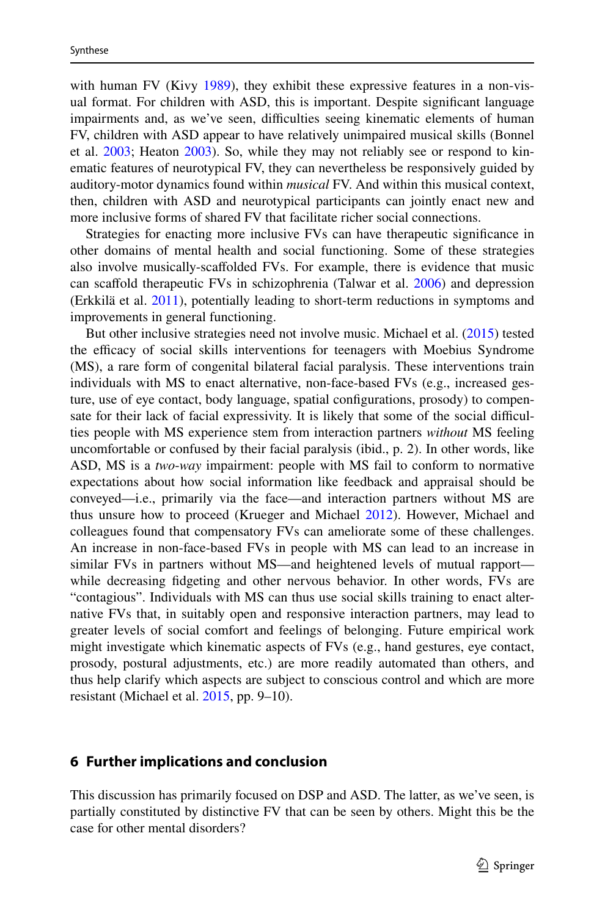with human FV (Kivy [1989\)](#page-21-24), they exhibit these expressive features in a non-visual format. For children with ASD, this is important. Despite signifcant language impairments and, as we've seen, difficulties seeing kinematic elements of human FV, children with ASD appear to have relatively unimpaired musical skills (Bonnel et al. [2003](#page-19-13); Heaton [2003\)](#page-21-23). So, while they may not reliably see or respond to kinematic features of neurotypical FV, they can nevertheless be responsively guided by auditory-motor dynamics found within *musical* FV. And within this musical context, then, children with ASD and neurotypical participants can jointly enact new and more inclusive forms of shared FV that facilitate richer social connections.

Strategies for enacting more inclusive FVs can have therapeutic signifcance in other domains of mental health and social functioning. Some of these strategies also involve musically-scafolded FVs. For example, there is evidence that music can scafold therapeutic FVs in schizophrenia (Talwar et al. [2006\)](#page-23-24) and depression (Erkkilä et al. [2011](#page-20-25)), potentially leading to short-term reductions in symptoms and improvements in general functioning.

But other inclusive strategies need not involve music. Michael et al. [\(2015](#page-22-23)) tested the efficacy of social skills interventions for teenagers with Moebius Syndrome (MS), a rare form of congenital bilateral facial paralysis. These interventions train individuals with MS to enact alternative, non-face-based FVs (e.g., increased gesture, use of eye contact, body language, spatial confgurations, prosody) to compensate for their lack of facial expressivity. It is likely that some of the social difficulties people with MS experience stem from interaction partners *without* MS feeling uncomfortable or confused by their facial paralysis (ibid., p. 2). In other words, like ASD, MS is a *two*-*way* impairment: people with MS fail to conform to normative expectations about how social information like feedback and appraisal should be conveyed—i.e., primarily via the face—and interaction partners without MS are thus unsure how to proceed (Krueger and Michael [2012\)](#page-21-3). However, Michael and colleagues found that compensatory FVs can ameliorate some of these challenges. An increase in non-face-based FVs in people with MS can lead to an increase in similar FVs in partners without MS—and heightened levels of mutual rapport while decreasing fdgeting and other nervous behavior. In other words, FVs are "contagious". Individuals with MS can thus use social skills training to enact alternative FVs that, in suitably open and responsive interaction partners, may lead to greater levels of social comfort and feelings of belonging. Future empirical work might investigate which kinematic aspects of FVs (e.g., hand gestures, eye contact, prosody, postural adjustments, etc.) are more readily automated than others, and thus help clarify which aspects are subject to conscious control and which are more resistant (Michael et al. [2015](#page-22-23), pp. 9–10).

## **6 Further implications and conclusion**

This discussion has primarily focused on DSP and ASD. The latter, as we've seen, is partially constituted by distinctive FV that can be seen by others. Might this be the case for other mental disorders?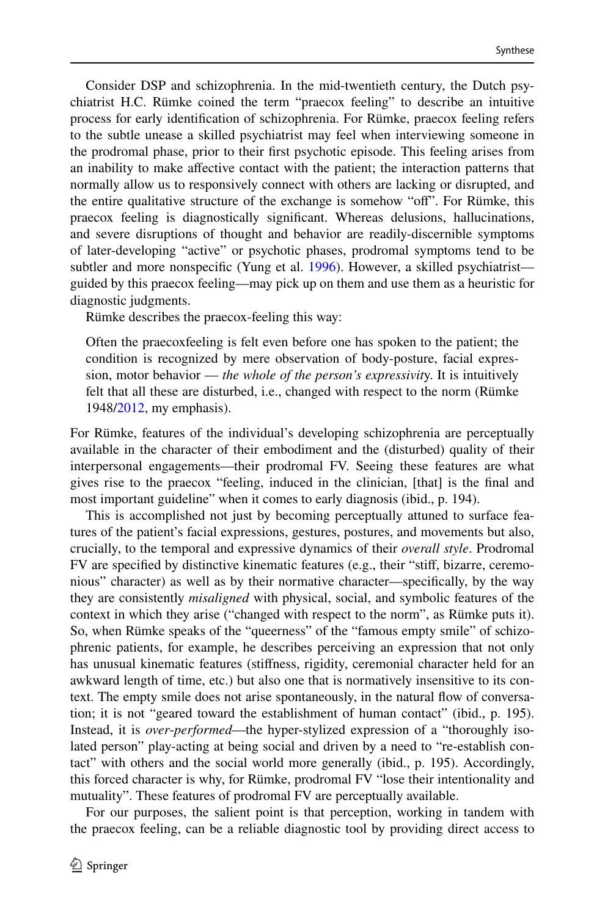Consider DSP and schizophrenia. In the mid-twentieth century, the Dutch psychiatrist H.C. Rümke coined the term "praecox feeling" to describe an intuitive process for early identifcation of schizophrenia. For Rümke, praecox feeling refers to the subtle unease a skilled psychiatrist may feel when interviewing someone in the prodromal phase, prior to their frst psychotic episode. This feeling arises from an inability to make afective contact with the patient; the interaction patterns that normally allow us to responsively connect with others are lacking or disrupted, and the entire qualitative structure of the exchange is somehow "of". For Rümke, this praecox feeling is diagnostically signifcant. Whereas delusions, hallucinations, and severe disruptions of thought and behavior are readily-discernible symptoms of later-developing "active" or psychotic phases, prodromal symptoms tend to be subtler and more nonspecific (Yung et al. [1996](#page-24-0)). However, a skilled psychiatrist guided by this praecox feeling—may pick up on them and use them as a heuristic for diagnostic judgments.

Rümke describes the praecox-feeling this way:

Often the praecoxfeeling is felt even before one has spoken to the patient; the condition is recognized by mere observation of body-posture, facial expression, motor behavior — *the whole of the person's expressivit*y. It is intuitively felt that all these are disturbed, i.e., changed with respect to the norm (Rümke 1948[/2012](#page-23-25), my emphasis).

For Rümke, features of the individual's developing schizophrenia are perceptually available in the character of their embodiment and the (disturbed) quality of their interpersonal engagements—their prodromal FV. Seeing these features are what gives rise to the praecox "feeling, induced in the clinician, [that] is the fnal and most important guideline" when it comes to early diagnosis (ibid., p. 194).

This is accomplished not just by becoming perceptually attuned to surface features of the patient's facial expressions, gestures, postures, and movements but also, crucially, to the temporal and expressive dynamics of their *overall style*. Prodromal FV are specifed by distinctive kinematic features (e.g., their "stif, bizarre, ceremonious" character) as well as by their normative character—specifcally, by the way they are consistently *misaligned* with physical, social, and symbolic features of the context in which they arise ("changed with respect to the norm", as Rümke puts it). So, when Rümke speaks of the "queerness" of the "famous empty smile" of schizophrenic patients, for example, he describes perceiving an expression that not only has unusual kinematic features (stifness, rigidity, ceremonial character held for an awkward length of time, etc.) but also one that is normatively insensitive to its context. The empty smile does not arise spontaneously, in the natural fow of conversation; it is not "geared toward the establishment of human contact" (ibid., p. 195). Instead, it is *over*-*performed*—the hyper-stylized expression of a "thoroughly isolated person" play-acting at being social and driven by a need to "re-establish contact" with others and the social world more generally (ibid., p. 195). Accordingly, this forced character is why, for Rümke, prodromal FV "lose their intentionality and mutuality". These features of prodromal FV are perceptually available.

For our purposes, the salient point is that perception, working in tandem with the praecox feeling, can be a reliable diagnostic tool by providing direct access to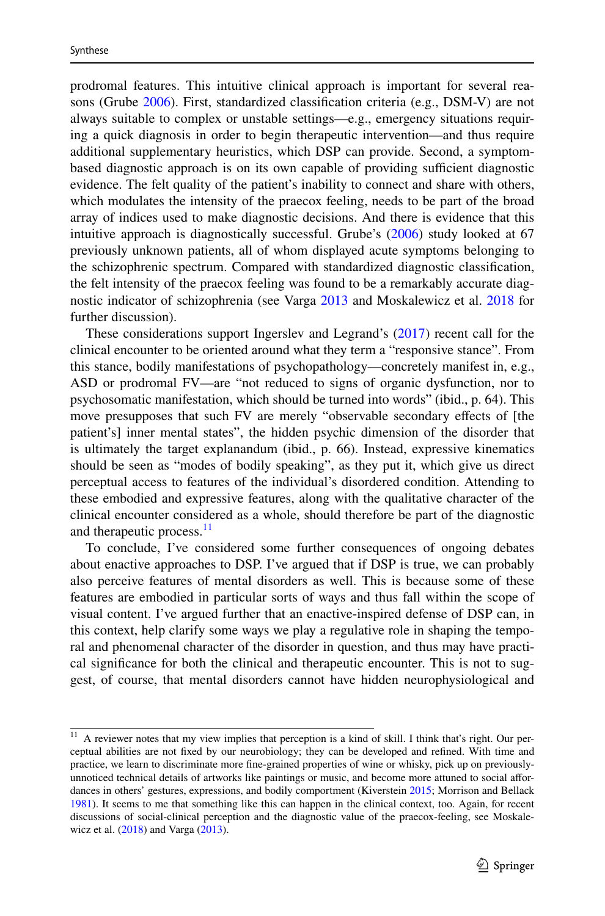prodromal features. This intuitive clinical approach is important for several reasons (Grube [2006\)](#page-20-26). First, standardized classifcation criteria (e.g., DSM-V) are not always suitable to complex or unstable settings—e.g., emergency situations requiring a quick diagnosis in order to begin therapeutic intervention—and thus require additional supplementary heuristics, which DSP can provide. Second, a symptombased diagnostic approach is on its own capable of providing sufficient diagnostic evidence. The felt quality of the patient's inability to connect and share with others, which modulates the intensity of the praecox feeling, needs to be part of the broad array of indices used to make diagnostic decisions. And there is evidence that this intuitive approach is diagnostically successful. Grube's [\(2006](#page-20-26)) study looked at 67 previously unknown patients, all of whom displayed acute symptoms belonging to the schizophrenic spectrum. Compared with standardized diagnostic classifcation, the felt intensity of the praecox feeling was found to be a remarkably accurate diagnostic indicator of schizophrenia (see Varga [2013](#page-23-26) and Moskalewicz et al. [2018](#page-22-24) for further discussion).

These considerations support Ingerslev and Legrand's [\(2017](#page-21-25)) recent call for the clinical encounter to be oriented around what they term a "responsive stance". From this stance, bodily manifestations of psychopathology—concretely manifest in, e.g., ASD or prodromal FV—are "not reduced to signs of organic dysfunction, nor to psychosomatic manifestation, which should be turned into words" (ibid., p. 64). This move presupposes that such FV are merely "observable secondary efects of [the patient's] inner mental states", the hidden psychic dimension of the disorder that is ultimately the target explanandum (ibid., p. 66). Instead, expressive kinematics should be seen as "modes of bodily speaking", as they put it, which give us direct perceptual access to features of the individual's disordered condition. Attending to these embodied and expressive features, along with the qualitative character of the clinical encounter considered as a whole, should therefore be part of the diagnostic and therapeutic process.<sup>11</sup>

To conclude, I've considered some further consequences of ongoing debates about enactive approaches to DSP. I've argued that if DSP is true, we can probably also perceive features of mental disorders as well. This is because some of these features are embodied in particular sorts of ways and thus fall within the scope of visual content. I've argued further that an enactive-inspired defense of DSP can, in this context, help clarify some ways we play a regulative role in shaping the temporal and phenomenal character of the disorder in question, and thus may have practical signifcance for both the clinical and therapeutic encounter. This is not to suggest, of course, that mental disorders cannot have hidden neurophysiological and

<span id="page-18-0"></span><sup>&</sup>lt;sup>11</sup> A reviewer notes that my view implies that perception is a kind of skill. I think that's right. Our perceptual abilities are not fxed by our neurobiology; they can be developed and refned. With time and practice, we learn to discriminate more fne-grained properties of wine or whisky, pick up on previouslyunnoticed technical details of artworks like paintings or music, and become more attuned to social afordances in others' gestures, expressions, and bodily comportment (Kiverstein [2015;](#page-21-9) Morrison and Bellack [1981](#page-22-25)). It seems to me that something like this can happen in the clinical context, too. Again, for recent discussions of social-clinical perception and the diagnostic value of the praecox-feeling, see Moskalewicz et al. [\(2018](#page-22-24)) and Varga ([2013\)](#page-23-26).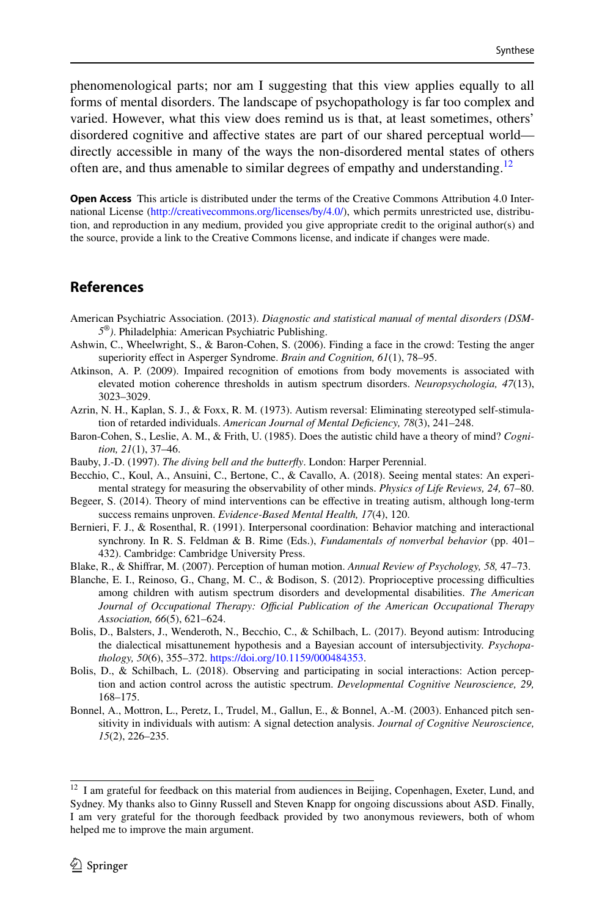phenomenological parts; nor am I suggesting that this view applies equally to all forms of mental disorders. The landscape of psychopathology is far too complex and varied. However, what this view does remind us is that, at least sometimes, others' disordered cognitive and afective states are part of our shared perceptual world directly accessible in many of the ways the non-disordered mental states of others often are, and thus amenable to similar degrees of empathy and understanding.<sup>[12](#page-19-14)</sup>

**Open Access** This article is distributed under the terms of the Creative Commons Attribution 4.0 International License (<http://creativecommons.org/licenses/by/4.0/>), which permits unrestricted use, distribution, and reproduction in any medium, provided you give appropriate credit to the original author(s) and the source, provide a link to the Creative Commons license, and indicate if changes were made.

# **References**

- <span id="page-19-7"></span>American Psychiatric Association. (2013). *Diagnostic and statistical manual of mental disorders (DSM-5®)*. Philadelphia: American Psychiatric Publishing.
- <span id="page-19-9"></span>Ashwin, C., Wheelwright, S., & Baron-Cohen, S. (2006). Finding a face in the crowd: Testing the anger superiority efect in Asperger Syndrome. *Brain and Cognition, 61*(1), 78–95.
- <span id="page-19-10"></span>Atkinson, A. P. (2009). Impaired recognition of emotions from body movements is associated with elevated motion coherence thresholds in autism spectrum disorders. *Neuropsychologia, 47*(13), 3023–3029.
- <span id="page-19-11"></span>Azrin, N. H., Kaplan, S. J., & Foxx, R. M. (1973). Autism reversal: Eliminating stereotyped self-stimulation of retarded individuals. *American Journal of Mental Defciency, 78*(3), 241–248.
- <span id="page-19-5"></span>Baron-Cohen, S., Leslie, A. M., & Frith, U. (1985). Does the autistic child have a theory of mind? *Cognition, 21*(1), 37–46.
- <span id="page-19-3"></span>Bauby, J.-D. (1997). *The diving bell and the butterfy*. London: Harper Perennial.
- <span id="page-19-0"></span>Becchio, C., Koul, A., Ansuini, C., Bertone, C., & Cavallo, A. (2018). Seeing mental states: An experimental strategy for measuring the observability of other minds. *Physics of Life Reviews, 24,* 67–80.
- <span id="page-19-12"></span>Begeer, S. (2014). Theory of mind interventions can be efective in treating autism, although long-term success remains unproven. *Evidence-Based Mental Health, 17*(4), 120.
- <span id="page-19-4"></span>Bernieri, F. J., & Rosenthal, R. (1991). Interpersonal coordination: Behavior matching and interactional synchrony. In R. S. Feldman & B. Rime (Eds.), *Fundamentals of nonverbal behavior* (pp. 401– 432). Cambridge: Cambridge University Press.
- <span id="page-19-8"></span>Blake, R., & Shifrar, M. (2007). Perception of human motion. *Annual Review of Psychology, 58,* 47–73.
- <span id="page-19-6"></span>Blanche, E. I., Reinoso, G., Chang, M. C., & Bodison, S. (2012). Proprioceptive processing difficulties among children with autism spectrum disorders and developmental disabilities. *The American Journal of Occupational Therapy: Official Publication of the American Occupational Therapy Association, 66*(5), 621–624.
- <span id="page-19-1"></span>Bolis, D., Balsters, J., Wenderoth, N., Becchio, C., & Schilbach, L. (2017). Beyond autism: Introducing the dialectical misattunement hypothesis and a Bayesian account of intersubjectivity. *Psychopathology, 50*(6), 355–372. <https://doi.org/10.1159/000484353>.
- <span id="page-19-2"></span>Bolis, D., & Schilbach, L. (2018). Observing and participating in social interactions: Action perception and action control across the autistic spectrum. *Developmental Cognitive Neuroscience, 29,* 168–175.
- <span id="page-19-13"></span>Bonnel, A., Mottron, L., Peretz, I., Trudel, M., Gallun, E., & Bonnel, A.-M. (2003). Enhanced pitch sensitivity in individuals with autism: A signal detection analysis. *Journal of Cognitive Neuroscience, 15*(2), 226–235.

<span id="page-19-14"></span><sup>&</sup>lt;sup>12</sup> I am grateful for feedback on this material from audiences in Beijing, Copenhagen, Exeter, Lund, and Sydney. My thanks also to Ginny Russell and Steven Knapp for ongoing discussions about ASD. Finally, I am very grateful for the thorough feedback provided by two anonymous reviewers, both of whom helped me to improve the main argument.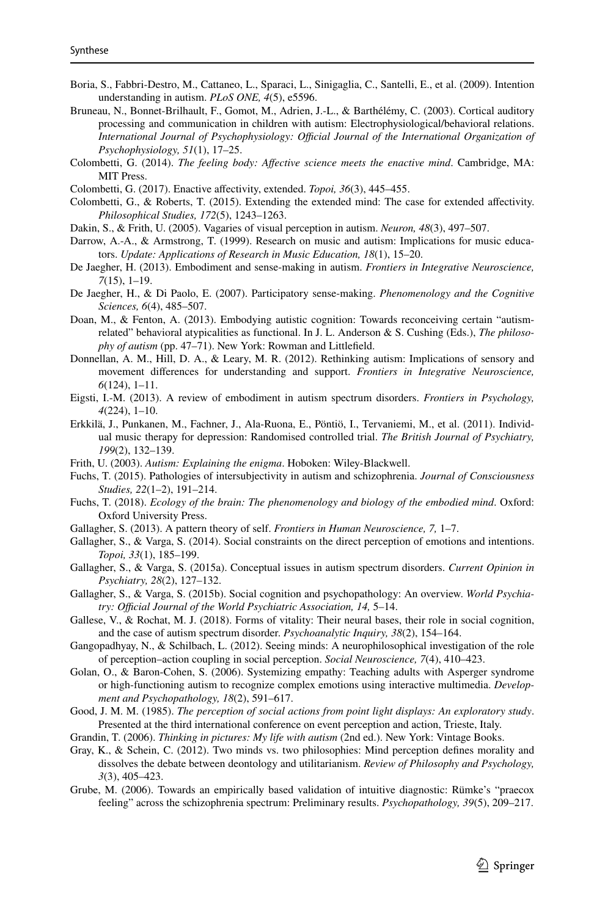- <span id="page-20-20"></span>Boria, S., Fabbri-Destro, M., Cattaneo, L., Sparaci, L., Sinigaglia, C., Santelli, E., et al. (2009). Intention understanding in autism. *PLoS ONE, 4*(5), e5596.
- <span id="page-20-22"></span>Bruneau, N., Bonnet-Brilhault, F., Gomot, M., Adrien, J.-L., & Barthélémy, C. (2003). Cortical auditory processing and communication in children with autism: Electrophysiological/behavioral relations. *International Journal of Psychophysiology: Official Journal of the International Organization of Psychophysiology, 51*(1), 17–25.
- <span id="page-20-7"></span>Colombetti, G. (2014). *The feeling body: Afective science meets the enactive mind*. Cambridge, MA: MIT Press.
- <span id="page-20-1"></span>Colombetti, G. (2017). Enactive afectivity, extended. *Topoi, 36*(3), 445–455.
- <span id="page-20-2"></span>Colombetti, G., & Roberts, T. (2015). Extending the extended mind: The case for extended afectivity. *Philosophical Studies, 172*(5), 1243–1263.
- <span id="page-20-21"></span>Dakin, S., & Frith, U. (2005). Vagaries of visual perception in autism. *Neuron, 48*(3), 497–507.
- <span id="page-20-23"></span>Darrow, A.-A., & Armstrong, T. (1999). Research on music and autism: Implications for music educators. *Update: Applications of Research in Music Education, 18*(1), 15–20.
- <span id="page-20-13"></span>De Jaegher, H. (2013). Embodiment and sense-making in autism. *Frontiers in Integrative Neuroscience, 7*(15), 1–19.
- <span id="page-20-10"></span>De Jaegher, H., & Di Paolo, E. (2007). Participatory sense-making. *Phenomenology and the Cognitive Sciences, 6*(4), 485–507.
- <span id="page-20-15"></span>Doan, M., & Fenton, A. (2013). Embodying autistic cognition: Towards reconceiving certain "autismrelated" behavioral atypicalities as functional. In J. L. Anderson & S. Cushing (Eds.), *The philosophy of autism* (pp. 47–71). New York: Rowman and Littlefeld.
- <span id="page-20-17"></span>Donnellan, A. M., Hill, D. A., & Leary, M. R. (2012). Rethinking autism: Implications of sensory and movement diferences for understanding and support. *Frontiers in Integrative Neuroscience, 6*(124), 1–11.
- <span id="page-20-16"></span>Eigsti, I.-M. (2013). A review of embodiment in autism spectrum disorders. *Frontiers in Psychology, 4*(224), 1–10.
- <span id="page-20-25"></span>Erkkilä, J., Punkanen, M., Fachner, J., Ala-Ruona, E., Pöntiö, I., Tervaniemi, M., et al. (2011). Individual music therapy for depression: Randomised controlled trial. *The British Journal of Psychiatry, 199*(2), 132–139.
- <span id="page-20-11"></span>Frith, U. (2003). *Autism: Explaining the enigma*. Hoboken: Wiley-Blackwell.
- <span id="page-20-18"></span>Fuchs, T. (2015). Pathologies of intersubjectivity in autism and schizophrenia. *Journal of Consciousness Studies, 22*(1–2), 191–214.
- <span id="page-20-5"></span>Fuchs, T. (2018). *Ecology of the brain: The phenomenology and biology of the embodied mind*. Oxford: Oxford University Press.
- <span id="page-20-8"></span>Gallagher, S. (2013). A pattern theory of self. *Frontiers in Human Neuroscience, 7,* 1–7.
- <span id="page-20-3"></span>Gallagher, S., & Varga, S. (2014). Social constraints on the direct perception of emotions and intentions. *Topoi, 33*(1), 185–199.
- <span id="page-20-14"></span>Gallagher, S., & Varga, S. (2015a). Conceptual issues in autism spectrum disorders. *Current Opinion in Psychiatry, 28*(2), 127–132.
- <span id="page-20-6"></span>Gallagher, S., & Varga, S. (2015b). Social cognition and psychopathology: An overview. *World Psychiatry: Official Journal of the World Psychiatric Association, 14, 5-14.*
- <span id="page-20-12"></span>Gallese, V., & Rochat, M. J. (2018). Forms of vitality: Their neural bases, their role in social cognition, and the case of autism spectrum disorder. *Psychoanalytic Inquiry, 38*(2), 154–164.
- <span id="page-20-4"></span>Gangopadhyay, N., & Schilbach, L. (2012). Seeing minds: A neurophilosophical investigation of the role of perception–action coupling in social perception. *Social Neuroscience, 7*(4), 410–423.
- <span id="page-20-24"></span>Golan, O., & Baron-Cohen, S. (2006). Systemizing empathy: Teaching adults with Asperger syndrome or high-functioning autism to recognize complex emotions using interactive multimedia. *Development and Psychopathology, 18*(2), 591–617.
- <span id="page-20-9"></span>Good, J. M. M. (1985). *The perception of social actions from point light displays: An exploratory study*. Presented at the third international conference on event perception and action, Trieste, Italy.
- <span id="page-20-19"></span>Grandin, T. (2006). *Thinking in pictures: My life with autism* (2nd ed.). New York: Vintage Books.
- <span id="page-20-0"></span>Gray, K., & Schein, C. (2012). Two minds vs. two philosophies: Mind perception defnes morality and dissolves the debate between deontology and utilitarianism. *Review of Philosophy and Psychology, 3*(3), 405–423.
- <span id="page-20-26"></span>Grube, M. (2006). Towards an empirically based validation of intuitive diagnostic: Rümke's "praecox feeling" across the schizophrenia spectrum: Preliminary results. *Psychopathology, 39*(5), 209–217.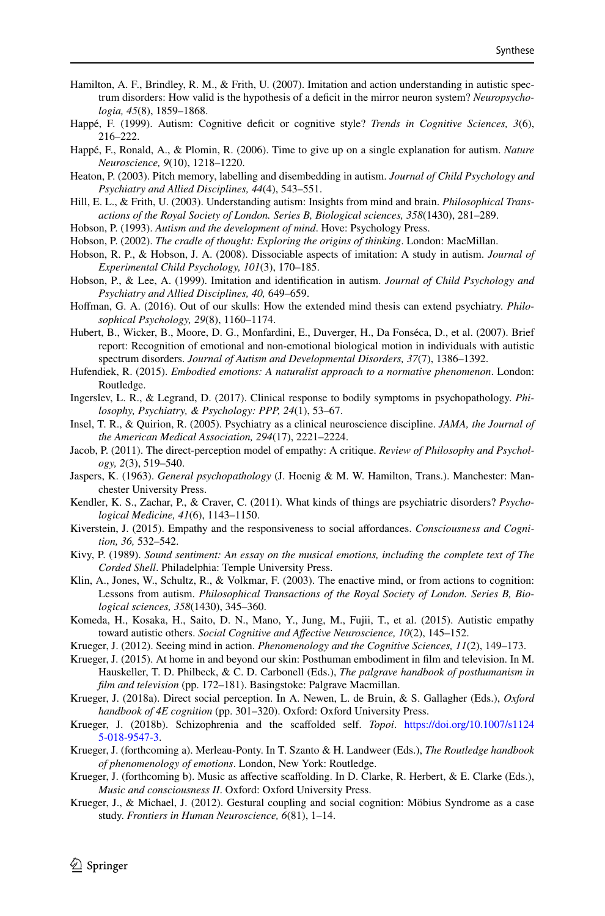- <span id="page-21-19"></span>Hamilton, A. F., Brindley, R. M., & Frith, U. (2007). Imitation and action understanding in autistic spectrum disorders: How valid is the hypothesis of a defcit in the mirror neuron system? *Neuropsychologia, 45*(8), 1859–1868.
- <span id="page-21-20"></span>Happé, F. (1999). Autism: Cognitive defcit or cognitive style? *Trends in Cognitive Sciences, 3*(6), 216–222.
- <span id="page-21-15"></span>Happé, F., Ronald, A., & Plomin, R. (2006). Time to give up on a single explanation for autism. *Nature Neuroscience, 9*(10), 1218–1220.
- <span id="page-21-23"></span>Heaton, P. (2003). Pitch memory, labelling and disembedding in autism. *Journal of Child Psychology and Psychiatry and Allied Disciplines, 44*(4), 543–551.
- <span id="page-21-11"></span>Hill, E. L., & Frith, U. (2003). Understanding autism: Insights from mind and brain. *Philosophical Transactions of the Royal Society of London. Series B, Biological sciences, 358*(1430), 281–289.
- <span id="page-21-12"></span>Hobson, P. (1993). *Autism and the development of mind*. Hove: Psychology Press.
- <span id="page-21-13"></span>Hobson, P. (2002). *The cradle of thought: Exploring the origins of thinking*. London: MacMillan.
- <span id="page-21-18"></span>Hobson, R. P., & Hobson, J. A. (2008). Dissociable aspects of imitation: A study in autism. *Journal of Experimental Child Psychology, 101*(3), 170–185.
- <span id="page-21-17"></span>Hobson, P., & Lee, A. (1999). Imitation and identifcation in autism. *Journal of Child Psychology and Psychiatry and Allied Disciplines, 40,* 649–659.
- <span id="page-21-4"></span>Hofman, G. A. (2016). Out of our skulls: How the extended mind thesis can extend psychiatry. *Philosophical Psychology, 29*(8), 1160–1174.
- <span id="page-21-21"></span>Hubert, B., Wicker, B., Moore, D. G., Monfardini, E., Duverger, H., Da Fonséca, D., et al. (2007). Brief report: Recognition of emotional and non-emotional biological motion in individuals with autistic spectrum disorders. *Journal of Autism and Developmental Disorders, 37*(7), 1386–1392.
- <span id="page-21-2"></span>Hufendiek, R. (2015). *Embodied emotions: A naturalist approach to a normative phenomenon*. London: Routledge.
- <span id="page-21-25"></span>Ingerslev, L. R., & Legrand, D. (2017). Clinical response to bodily symptoms in psychopathology. *Philosophy, Psychiatry, & Psychology: PPP, 24*(1), 53–67.
- <span id="page-21-6"></span>Insel, T. R., & Quirion, R. (2005). Psychiatry as a clinical neuroscience discipline. *JAMA, the Journal of the American Medical Association, 294*(17), 2221–2224.
- <span id="page-21-7"></span>Jacob, P. (2011). The direct-perception model of empathy: A critique. *Review of Philosophy and Psychology, 2*(3), 519–540.
- <span id="page-21-8"></span>Jaspers, K. (1963). *General psychopathology* (J. Hoenig & M. W. Hamilton, Trans.). Manchester: Manchester University Press.
- <span id="page-21-16"></span>Kendler, K. S., Zachar, P., & Craver, C. (2011). What kinds of things are psychiatric disorders? *Psychological Medicine, 41*(6), 1143–1150.
- <span id="page-21-9"></span>Kiverstein, J. (2015). Empathy and the responsiveness to social afordances. *Consciousness and Cognition, 36,* 532–542.
- <span id="page-21-24"></span>Kivy, P. (1989). *Sound sentiment: An essay on the musical emotions, including the complete text of The Corded Shell*. Philadelphia: Temple University Press.
- <span id="page-21-10"></span>Klin, A., Jones, W., Schultz, R., & Volkmar, F. (2003). The enactive mind, or from actions to cognition: Lessons from autism. *Philosophical Transactions of the Royal Society of London. Series B, Biological sciences, 358*(1430), 345–360.
- <span id="page-21-22"></span>Komeda, H., Kosaka, H., Saito, D. N., Mano, Y., Jung, M., Fujii, T., et al. (2015). Autistic empathy toward autistic others. *Social Cognitive and Afective Neuroscience, 10*(2), 145–152.
- <span id="page-21-0"></span>Krueger, J. (2012). Seeing mind in action. *Phenomenology and the Cognitive Sciences, 11*(2), 149–173.
- <span id="page-21-14"></span>Krueger, J. (2015). At home in and beyond our skin: Posthuman embodiment in flm and television. In M. Hauskeller, T. D. Philbeck, & C. D. Carbonell (Eds.), *The palgrave handbook of posthumanism in flm and television* (pp. 172–181). Basingstoke: Palgrave Macmillan.
- <span id="page-21-1"></span>Krueger, J. (2018a). Direct social perception. In A. Newen, L. de Bruin, & S. Gallagher (Eds.), *Oxford handbook of 4E cognition* (pp. 301–320). Oxford: Oxford University Press.
- <span id="page-21-5"></span>Krueger, J. (2018b). Schizophrenia and the scafolded self. *Topoi*. [https://doi.org/10.1007/s1124](https://doi.org/10.1007/s11245-018-9547-3) [5-018-9547-3.](https://doi.org/10.1007/s11245-018-9547-3)
- Krueger, J. (forthcoming a). Merleau-Ponty. In T. Szanto & H. Landweer (Eds.), *The Routledge handbook of phenomenology of emotions*. London, New York: Routledge.
- Krueger, J. (forthcoming b). Music as afective scafolding. In D. Clarke, R. Herbert, & E. Clarke (Eds.), *Music and consciousness II*. Oxford: Oxford University Press.
- <span id="page-21-3"></span>Krueger, J., & Michael, J. (2012). Gestural coupling and social cognition: Möbius Syndrome as a case study. *Frontiers in Human Neuroscience, 6*(81), 1–14.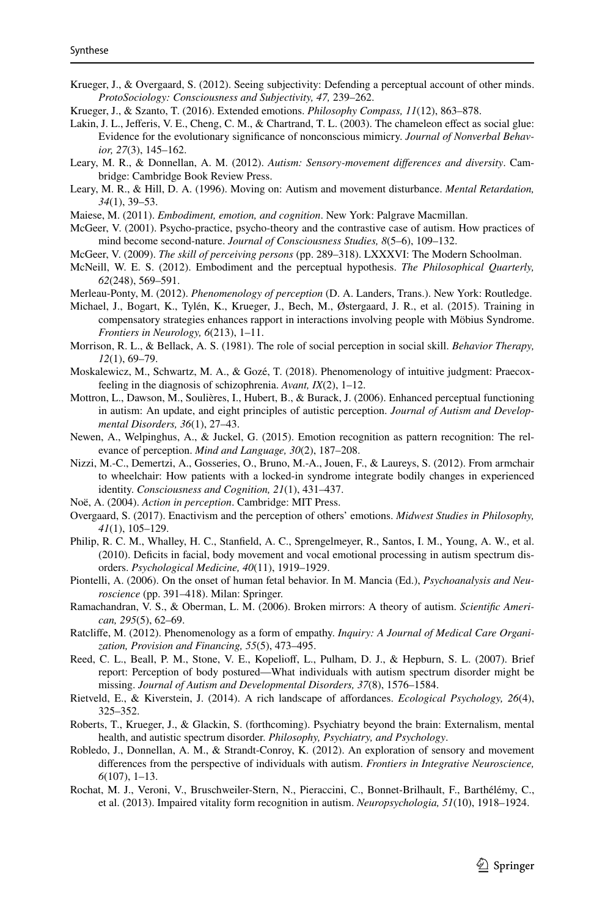<span id="page-22-0"></span>Krueger, J., & Overgaard, S. (2012). Seeing subjectivity: Defending a perceptual account of other minds. *ProtoSociology: Consciousness and Subjectivity, 47,* 239–262.

- <span id="page-22-11"></span>Lakin, J. L., Jefferis, V. E., Cheng, C. M., & Chartrand, T. L. (2003). The chameleon effect as social glue: Evidence for the evolutionary signifcance of nonconscious mimicry. *Journal of Nonverbal Behavior, 27*(3), 145–162.
- <span id="page-22-13"></span>Leary, M. R., & Donnellan, A. M. (2012). *Autism: Sensory-movement diferences and diversity*. Cambridge: Cambridge Book Review Press.
- <span id="page-22-14"></span>Leary, M. R., & Hill, D. A. (1996). Moving on: Autism and movement disturbance. *Mental Retardation, 34*(1), 39–53.
- <span id="page-22-4"></span>Maiese, M. (2011). *Embodiment, emotion, and cognition*. New York: Palgrave Macmillan.
- <span id="page-22-20"></span>McGeer, V. (2001). Psycho-practice, psycho-theory and the contrastive case of autism. How practices of mind become second-nature. *Journal of Consciousness Studies, 8*(5–6), 109–132.
- <span id="page-22-22"></span>McGeer, V. (2009). *The skill of perceiving persons* (pp. 289–318). LXXXVI: The Modern Schoolman.
- <span id="page-22-7"></span>McNeill, W. E. S. (2012). Embodiment and the perceptual hypothesis. *The Philosophical Quarterly, 62*(248), 569–591.
- <span id="page-22-2"></span>Merleau-Ponty, M. (2012). *Phenomenology of perception* (D. A. Landers, Trans.). New York: Routledge.
- <span id="page-22-23"></span>Michael, J., Bogart, K., Tylén, K., Krueger, J., Bech, M., Østergaard, J. R., et al. (2015). Training in compensatory strategies enhances rapport in interactions involving people with Möbius Syndrome. *Frontiers in Neurology, 6*(213), 1–11.
- <span id="page-22-25"></span>Morrison, R. L., & Bellack, A. S. (1981). The role of social perception in social skill. *Behavior Therapy, 12*(1), 69–79.
- <span id="page-22-24"></span>Moskalewicz, M., Schwartz, M. A., & Gozé, T. (2018). Phenomenology of intuitive judgment: Praecoxfeeling in the diagnosis of schizophrenia. *Avant, IX*(2), 1–12.
- <span id="page-22-17"></span>Mottron, L., Dawson, M., Soulières, I., Hubert, B., & Burack, J. (2006). Enhanced perceptual functioning in autism: An update, and eight principles of autistic perception. *Journal of Autism and Developmental Disorders, 36*(1), 27–43.
- <span id="page-22-6"></span>Newen, A., Welpinghus, A., & Juckel, G. (2015). Emotion recognition as pattern recognition: The relevance of perception. *Mind and Language, 30*(2), 187–208.
- <span id="page-22-9"></span>Nizzi, M.-C., Demertzi, A., Gosseries, O., Bruno, M.-A., Jouen, F., & Laureys, S. (2012). From armchair to wheelchair: How patients with a locked-in syndrome integrate bodily changes in experienced identity. *Consciousness and Cognition, 21*(1), 431–437.
- <span id="page-22-21"></span>Noë, A. (2004). *Action in perception*. Cambridge: MIT Press.
- <span id="page-22-1"></span>Overgaard, S. (2017). Enactivism and the perception of others' emotions. *Midwest Studies in Philosophy, 41*(1), 105–129.
- <span id="page-22-19"></span>Philip, R. C. M., Whalley, H. C., Stanfeld, A. C., Sprengelmeyer, R., Santos, I. M., Young, A. W., et al. (2010). Defcits in facial, body movement and vocal emotional processing in autism spectrum disorders. *Psychological Medicine, 40*(11), 1919–1929.
- <span id="page-22-8"></span>Piontelli, A. (2006). On the onset of human fetal behavior. In M. Mancia (Ed.), *Psychoanalysis and Neuroscience* (pp. 391–418). Milan: Springer.
- <span id="page-22-16"></span>Ramachandran, V. S., & Oberman, L. M. (2006). Broken mirrors: A theory of autism. *Scientifc American, 295*(5), 62–69.
- <span id="page-22-5"></span>Ratclife, M. (2012). Phenomenology as a form of empathy. *Inquiry: A Journal of Medical Care Organization, Provision and Financing, 55*(5), 473–495.
- <span id="page-22-18"></span>Reed, C. L., Beall, P. M., Stone, V. E., Kopeliof, L., Pulham, D. J., & Hepburn, S. L. (2007). Brief report: Perception of body postured—What individuals with autism spectrum disorder might be missing. *Journal of Autism and Developmental Disorders, 37*(8), 1576–1584.
- <span id="page-22-10"></span>Rietveld, E., & Kiverstein, J. (2014). A rich landscape of afordances. *Ecological Psychology, 26*(4), 325–352.
- Roberts, T., Krueger, J., & Glackin, S. (forthcoming). Psychiatry beyond the brain: Externalism, mental health, and autistic spectrum disorder. *Philosophy, Psychiatry, and Psychology*.
- <span id="page-22-15"></span>Robledo, J., Donnellan, A. M., & Strandt-Conroy, K. (2012). An exploration of sensory and movement diferences from the perspective of individuals with autism. *Frontiers in Integrative Neuroscience, 6*(107), 1–13.
- <span id="page-22-12"></span>Rochat, M. J., Veroni, V., Bruschweiler-Stern, N., Pieraccini, C., Bonnet-Brilhault, F., Barthélémy, C., et al. (2013). Impaired vitality form recognition in autism. *Neuropsychologia, 51*(10), 1918–1924.

<span id="page-22-3"></span>Krueger, J., & Szanto, T. (2016). Extended emotions. *Philosophy Compass, 11*(12), 863–878.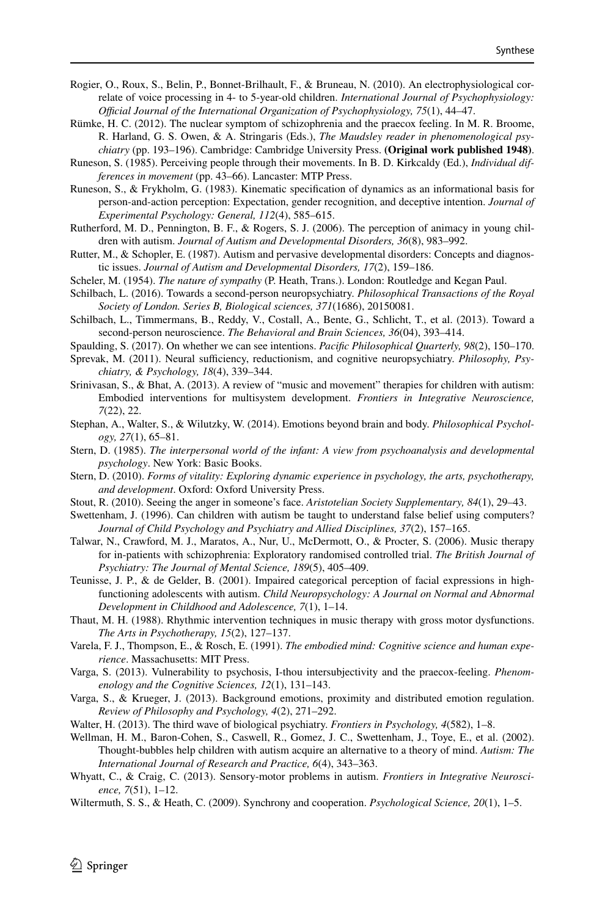- <span id="page-23-19"></span>Rogier, O., Roux, S., Belin, P., Bonnet-Brilhault, F., & Bruneau, N. (2010). An electrophysiological correlate of voice processing in 4- to 5-year-old children. *International Journal of Psychophysiology: Ofcial Journal of the International Organization of Psychophysiology, 75*(1), 44–47.
- <span id="page-23-25"></span>Rümke, H. C. (2012). The nuclear symptom of schizophrenia and the praecox feeling. In M. R. Broome, R. Harland, G. S. Owen, & A. Stringaris (Eds.), *The Maudsley reader in phenomenological psychiatry* (pp. 193–196). Cambridge: Cambridge University Press. **(Original work published 1948)**.
- <span id="page-23-12"></span>Runeson, S. (1985). Perceiving people through their movements. In B. D. Kirkcaldy (Ed.), *Individual differences in movement* (pp. 43–66). Lancaster: MTP Press.
- <span id="page-23-11"></span>Runeson, S., & Frykholm, G. (1983). Kinematic specifcation of dynamics as an informational basis for person-and-action perception: Expectation, gender recognition, and deceptive intention. *Journal of Experimental Psychology: General, 112*(4), 585–615.
- <span id="page-23-17"></span>Rutherford, M. D., Pennington, B. F., & Rogers, S. J. (2006). The perception of animacy in young children with autism. *Journal of Autism and Developmental Disorders, 36*(8), 983–992.
- <span id="page-23-14"></span>Rutter, M., & Schopler, E. (1987). Autism and pervasive developmental disorders: Concepts and diagnostic issues. *Journal of Autism and Developmental Disorders, 17*(2), 159–186.
- <span id="page-23-1"></span>Scheler, M. (1954). *The nature of sympathy* (P. Heath, Trans.). London: Routledge and Kegan Paul.
- <span id="page-23-6"></span>Schilbach, L. (2016). Towards a second-person neuropsychiatry. *Philosophical Transactions of the Royal Society of London. Series B, Biological sciences, 371*(1686), 20150081.
- <span id="page-23-7"></span>Schilbach, L., Timmermans, B., Reddy, V., Costall, A., Bente, G., Schlicht, T., et al. (2013). Toward a second-person neuroscience. *The Behavioral and Brain Sciences, 36*(04), 393–414.
- <span id="page-23-5"></span>Spaulding, S. (2017). On whether we can see intentions. *Pacifc Philosophical Quarterly, 98*(2), 150–170.
- <span id="page-23-3"></span>Sprevak, M. (2011). Neural sufficiency, reductionism, and cognitive neuropsychiatry. *Philosophy, Psychiatry, & Psychology, 18*(4), 339–344.
- <span id="page-23-20"></span>Srinivasan, S., & Bhat, A. (2013). A review of "music and movement" therapies for children with autism: Embodied interventions for multisystem development. *Frontiers in Integrative Neuroscience, 7*(22), 22.
- <span id="page-23-2"></span>Stephan, A., Walter, S., & Wilutzky, W. (2014). Emotions beyond brain and body. *Philosophical Psychology, 27*(1), 65–81.
- <span id="page-23-9"></span>Stern, D. (1985). *The interpersonal world of the infant: A view from psychoanalysis and developmental psychology*. New York: Basic Books.
- <span id="page-23-10"></span>Stern, D. (2010). *Forms of vitality: Exploring dynamic experience in psychology, the arts, psychotherapy, and development*. Oxford: Oxford University Press.
- <span id="page-23-8"></span>Stout, R. (2010). Seeing the anger in someone's face. *Aristotelian Society Supplementary, 84*(1), 29–43.
- <span id="page-23-22"></span>Swettenham, J. (1996). Can children with autism be taught to understand false belief using computers? *Journal of Child Psychology and Psychiatry and Allied Disciplines, 37*(2), 157–165.
- <span id="page-23-24"></span>Talwar, N., Crawford, M. J., Maratos, A., Nur, U., McDermott, O., & Procter, S. (2006). Music therapy for in-patients with schizophrenia: Exploratory randomised controlled trial. *The British Journal of Psychiatry: The Journal of Mental Science, 189*(5), 405–409.
- <span id="page-23-18"></span>Teunisse, J. P., & de Gelder, B. (2001). Impaired categorical perception of facial expressions in highfunctioning adolescents with autism. *Child Neuropsychology: A Journal on Normal and Abnormal Development in Childhood and Adolescence, 7*(1), 1–14.
- <span id="page-23-21"></span>Thaut, M. H. (1988). Rhythmic intervention techniques in music therapy with gross motor dysfunctions. *The Arts in Psychotherapy, 15*(2), 127–137.
- <span id="page-23-0"></span>Varela, F. J., Thompson, E., & Rosch, E. (1991). *The embodied mind: Cognitive science and human experience*. Massachusetts: MIT Press.
- <span id="page-23-26"></span>Varga, S. (2013). Vulnerability to psychosis, I-thou intersubjectivity and the praecox-feeling. *Phenomenology and the Cognitive Sciences, 12*(1), 131–143.
- <span id="page-23-4"></span>Varga, S., & Krueger, J. (2013). Background emotions, proximity and distributed emotion regulation. *Review of Philosophy and Psychology, 4*(2), 271–292.
- <span id="page-23-16"></span>Walter, H. (2013). The third wave of biological psychiatry. *Frontiers in Psychology, 4*(582), 1–8.
- <span id="page-23-23"></span>Wellman, H. M., Baron-Cohen, S., Caswell, R., Gomez, J. C., Swettenham, J., Toye, E., et al. (2002). Thought-bubbles help children with autism acquire an alternative to a theory of mind. *Autism: The International Journal of Research and Practice, 6*(4), 343–363.
- <span id="page-23-15"></span>Whyatt, C., & Craig, C. (2013). Sensory-motor problems in autism. *Frontiers in Integrative Neuroscience, 7*(51), 1–12.
- <span id="page-23-13"></span>Wiltermuth, S. S., & Heath, C. (2009). Synchrony and cooperation. *Psychological Science, 20*(1), 1–5.